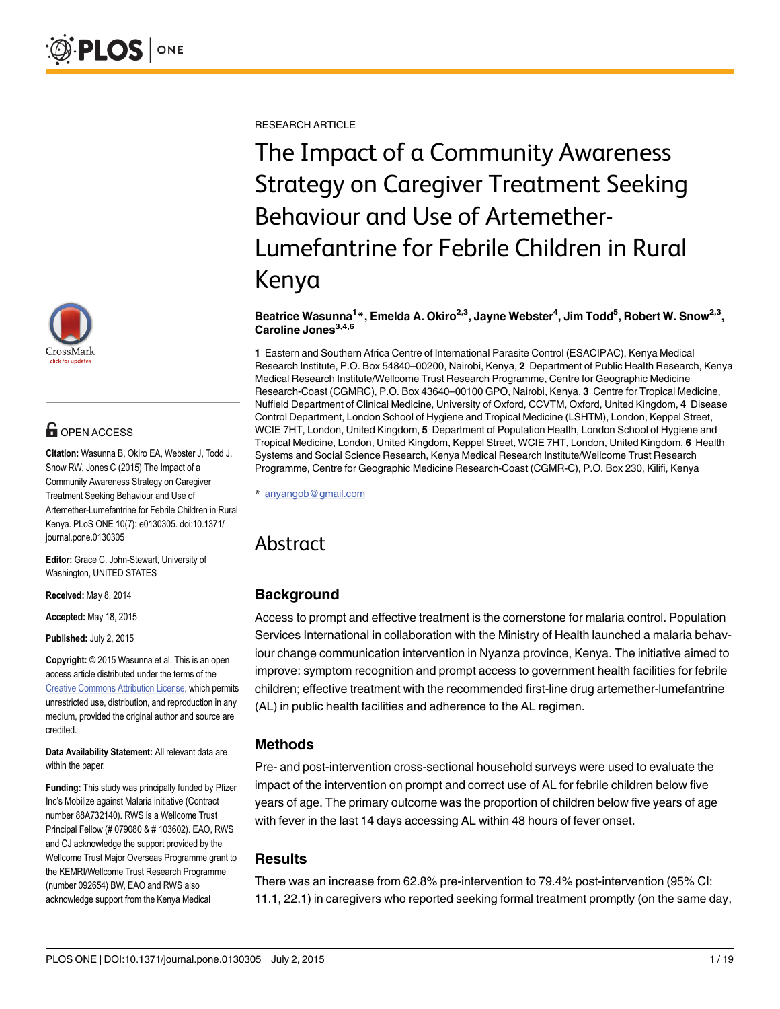

# **G** OPEN ACCESS

Citation: Wasunna B, Okiro EA, Webster J, Todd J, Snow RW, Jones C (2015) The Impact of a Community Awareness Strategy on Caregiver Treatment Seeking Behaviour and Use of Artemether-Lumefantrine for Febrile Children in Rural Kenya. PLoS ONE 10(7): e0130305. doi:10.1371/ journal.pone.0130305

Editor: Grace C. John-Stewart, University of Washington, UNITED STATES

Received: May 8, 2014

Accepted: May 18, 2015

Published: July 2, 2015

Copyright: © 2015 Wasunna et al. This is an open access article distributed under the terms of the [Creative Commons Attribution License,](http://creativecommons.org/licenses/by/4.0/) which permits unrestricted use, distribution, and reproduction in any medium, provided the original author and source are credited.

Data Availability Statement: All relevant data are within the paper.

Funding: This study was principally funded by Pfizer Inc's Mobilize against Malaria initiative (Contract number 88A732140). RWS is a Wellcome Trust Principal Fellow (# 079080 & # 103602). EAO, RWS and CJ acknowledge the support provided by the Wellcome Trust Major Overseas Programme grant to the KEMRI/Wellcome Trust Research Programme (number 092654) BW, EAO and RWS also acknowledge support from the Kenya Medical

RESEARCH ARTICLE

The Impact of a Community Awareness Strategy on Caregiver Treatment Seeking Behaviour and Use of Artemether-Lumefantrine for Febrile Children in Rural Kenya

## Beatrice Wasunna<sup>1</sup>\*, Emelda A. Okiro<sup>2,3</sup>, Jayne Webster<sup>4</sup>, Jim Todd<sup>5</sup>, Robert W. Snow<sup>2,3</sup>, Caroline Jones $^{3,4,6}$

1 Eastern and Southern Africa Centre of International Parasite Control (ESACIPAC), Kenya Medical Research Institute, P.O. Box 54840–00200, Nairobi, Kenya, 2 Department of Public Health Research, Kenya Medical Research Institute/Wellcome Trust Research Programme, Centre for Geographic Medicine Research-Coast (CGMRC), P.O. Box 43640–00100 GPO, Nairobi, Kenya, 3 Centre for Tropical Medicine, Nuffield Department of Clinical Medicine, University of Oxford, CCVTM, Oxford, United Kingdom, 4 Disease Control Department, London School of Hygiene and Tropical Medicine (LSHTM), London, Keppel Street, WCIE 7HT, London, United Kingdom, 5 Department of Population Health, London School of Hygiene and Tropical Medicine, London, United Kingdom, Keppel Street, WCIE 7HT, London, United Kingdom, 6 Health Systems and Social Science Research, Kenya Medical Research Institute/Wellcome Trust Research Programme, Centre for Geographic Medicine Research-Coast (CGMR-C), P.O. Box 230, Kilifi, Kenya

\* anyangob@gmail.com

# Abstract

# **Background**

Access to prompt and effective treatment is the cornerstone for malaria control. Population Services International in collaboration with the Ministry of Health launched a malaria behaviour change communication intervention in Nyanza province, Kenya. The initiative aimed to improve: symptom recognition and prompt access to government health facilities for febrile children; effective treatment with the recommended first-line drug artemether-lumefantrine (AL) in public health facilities and adherence to the AL regimen.

# Methods

Pre- and post-intervention cross-sectional household surveys were used to evaluate the impact of the intervention on prompt and correct use of AL for febrile children below five years of age. The primary outcome was the proportion of children below five years of age with fever in the last 14 days accessing AL within 48 hours of fever onset.

# **Results**

There was an increase from 62.8% pre-intervention to 79.4% post-intervention (95% CI: 11.1, 22.1) in caregivers who reported seeking formal treatment promptly (on the same day,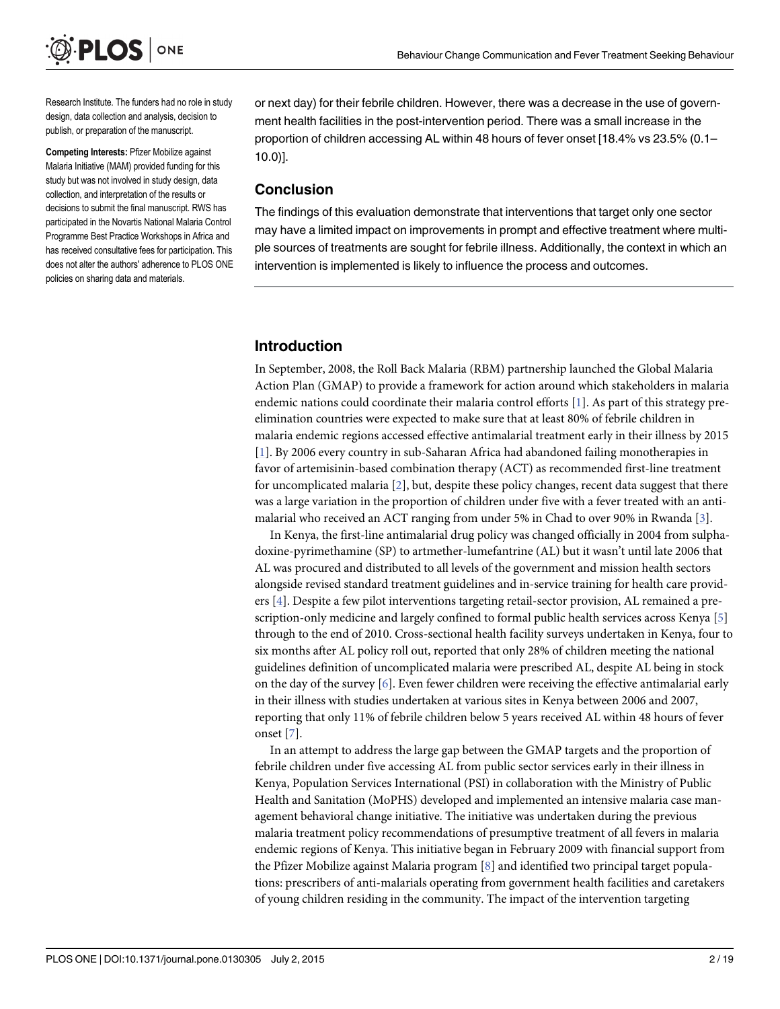<span id="page-1-0"></span>

Research Institute. The funders had no role in study design, data collection and analysis, decision to publish, or preparation of the manuscript.

Competing Interests: Pfizer Mobilize against Malaria Initiative (MAM) provided funding for this study but was not involved in study design, data collection, and interpretation of the results or decisions to submit the final manuscript. RWS has participated in the Novartis National Malaria Control Programme Best Practice Workshops in Africa and has received consultative fees for participation. This does not alter the authors' adherence to PLOS ONE policies on sharing data and materials.

or next day) for their febrile children. However, there was a decrease in the use of government health facilities in the post-intervention period. There was a small increase in the proportion of children accessing AL within 48 hours of fever onset [18.4% vs 23.5% (0.1– 10.0)].

## Conclusion

The findings of this evaluation demonstrate that interventions that target only one sector may have a limited impact on improvements in prompt and effective treatment where multiple sources of treatments are sought for febrile illness. Additionally, the context in which an intervention is implemented is likely to influence the process and outcomes.

# Introduction

In September, 2008, the Roll Back Malaria (RBM) partnership launched the Global Malaria Action Plan (GMAP) to provide a framework for action around which stakeholders in malaria endemic nations could coordinate their malaria control efforts [\[1\]](#page-16-0). As part of this strategy preelimination countries were expected to make sure that at least 80% of febrile children in malaria endemic regions accessed effective antimalarial treatment early in their illness by 2015 [\[1](#page-16-0)]. By 2006 every country in sub-Saharan Africa had abandoned failing monotherapies in favor of artemisinin-based combination therapy (ACT) as recommended first-line treatment for uncomplicated malaria [[2\]](#page-16-0), but, despite these policy changes, recent data suggest that there was a large variation in the proportion of children under five with a fever treated with an antimalarial who received an ACT ranging from under 5% in Chad to over 90% in Rwanda [\[3\]](#page-16-0).

In Kenya, the first-line antimalarial drug policy was changed officially in 2004 from sulphadoxine-pyrimethamine (SP) to artmether-lumefantrine (AL) but it wasn't until late 2006 that AL was procured and distributed to all levels of the government and mission health sectors alongside revised standard treatment guidelines and in-service training for health care providers [\[4\]](#page-16-0). Despite a few pilot interventions targeting retail-sector provision, AL remained a prescription-only medicine and largely confined to formal public health services across Kenya [\[5](#page-16-0)] through to the end of 2010. Cross-sectional health facility surveys undertaken in Kenya, four to six months after AL policy roll out, reported that only 28% of children meeting the national guidelines definition of uncomplicated malaria were prescribed AL, despite AL being in stock on the day of the survey  $[6]$ . Even fewer children were receiving the effective antimalarial early in their illness with studies undertaken at various sites in Kenya between 2006 and 2007, reporting that only 11% of febrile children below 5 years received AL within 48 hours of fever onset [[7\]](#page-16-0).

In an attempt to address the large gap between the GMAP targets and the proportion of febrile children under five accessing AL from public sector services early in their illness in Kenya, Population Services International (PSI) in collaboration with the Ministry of Public Health and Sanitation (MoPHS) developed and implemented an intensive malaria case management behavioral change initiative. The initiative was undertaken during the previous malaria treatment policy recommendations of presumptive treatment of all fevers in malaria endemic regions of Kenya. This initiative began in February 2009 with financial support from the Pfizer Mobilize against Malaria program [[8](#page-16-0)] and identified two principal target populations: prescribers of anti-malarials operating from government health facilities and caretakers of young children residing in the community. The impact of the intervention targeting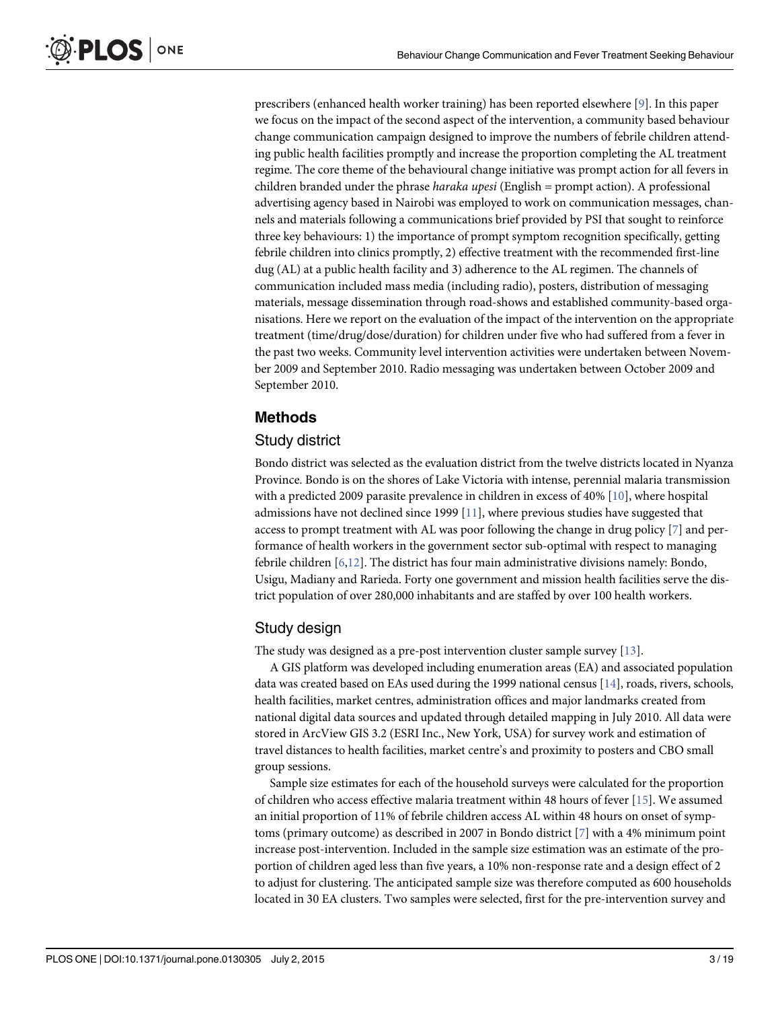<span id="page-2-0"></span>prescribers (enhanced health worker training) has been reported elsewhere [\[9](#page-16-0)]. In this paper we focus on the impact of the second aspect of the intervention, a community based behaviour change communication campaign designed to improve the numbers of febrile children attending public health facilities promptly and increase the proportion completing the AL treatment regime. The core theme of the behavioural change initiative was prompt action for all fevers in children branded under the phrase *haraka upesi* (English = prompt action). A professional advertising agency based in Nairobi was employed to work on communication messages, channels and materials following a communications brief provided by PSI that sought to reinforce three key behaviours: 1) the importance of prompt symptom recognition specifically, getting febrile children into clinics promptly, 2) effective treatment with the recommended first-line dug (AL) at a public health facility and 3) adherence to the AL regimen. The channels of communication included mass media (including radio), posters, distribution of messaging materials, message dissemination through road-shows and established community-based organisations. Here we report on the evaluation of the impact of the intervention on the appropriate treatment (time/drug/dose/duration) for children under five who had suffered from a fever in the past two weeks. Community level intervention activities were undertaken between November 2009 and September 2010. Radio messaging was undertaken between October 2009 and September 2010.

# Methods

# Study district

Bondo district was selected as the evaluation district from the twelve districts located in Nyanza Province. Bondo is on the shores of Lake Victoria with intense, perennial malaria transmission with a predicted 2009 parasite prevalence in children in excess of 40% [[10](#page-16-0)], where hospital admissions have not declined since 1999 [[11](#page-16-0)], where previous studies have suggested that access to prompt treatment with AL was poor following the change in drug policy  $[7]$  $[7]$  and performance of health workers in the government sector sub-optimal with respect to managing febrile children [[6,12\]](#page-16-0). The district has four main administrative divisions namely: Bondo, Usigu, Madiany and Rarieda. Forty one government and mission health facilities serve the district population of over 280,000 inhabitants and are staffed by over 100 health workers.

# Study design

The study was designed as a pre-post intervention cluster sample survey [\[13\]](#page-16-0).

A GIS platform was developed including enumeration areas (EA) and associated population data was created based on EAs used during the 1999 national census [\[14\]](#page-16-0), roads, rivers, schools, health facilities, market centres, administration offices and major landmarks created from national digital data sources and updated through detailed mapping in July 2010. All data were stored in ArcView GIS 3.2 (ESRI Inc., New York, USA) for survey work and estimation of travel distances to health facilities, market centre's and proximity to posters and CBO small group sessions.

Sample size estimates for each of the household surveys were calculated for the proportion of children who access effective malaria treatment within 48 hours of fever [\[15](#page-16-0)]. We assumed an initial proportion of 11% of febrile children access AL within 48 hours on onset of symptoms (primary outcome) as described in 2007 in Bondo district [[7](#page-16-0)] with a 4% minimum point increase post-intervention. Included in the sample size estimation was an estimate of the proportion of children aged less than five years, a 10% non-response rate and a design effect of 2 to adjust for clustering. The anticipated sample size was therefore computed as 600 households located in 30 EA clusters. Two samples were selected, first for the pre-intervention survey and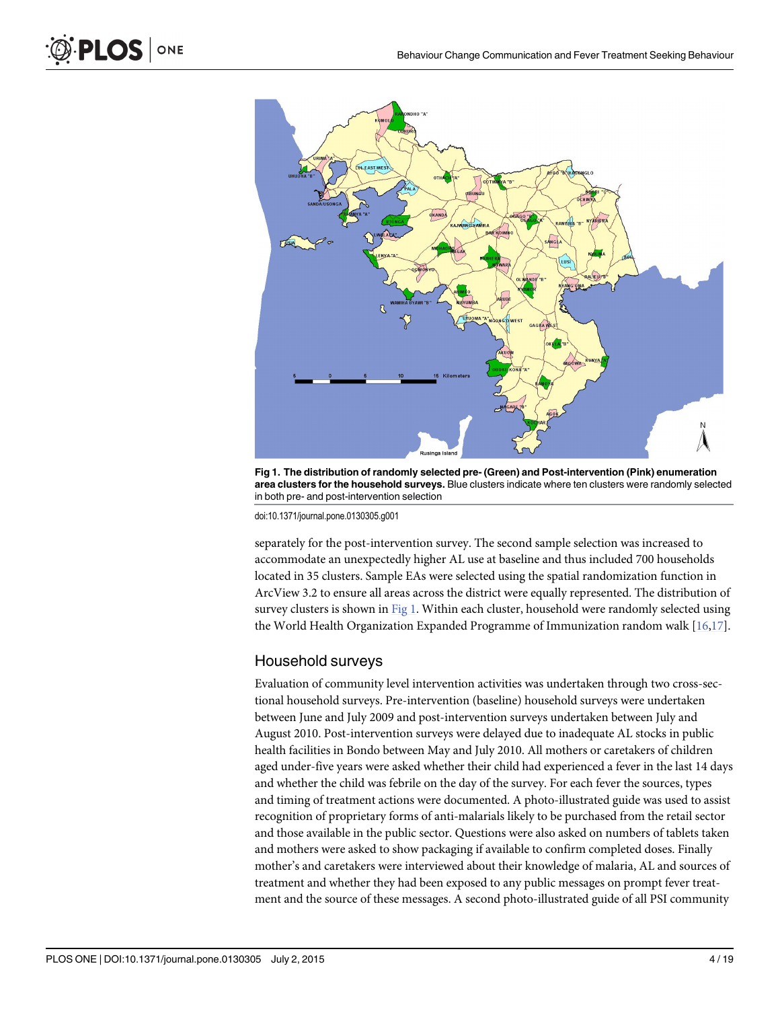

Fig 1. The distribution of randomly selected pre- (Green) and Post-intervention (Pink) enumeration area clusters for the household surveys. Blue clusters indicate where ten clusters were randomly selected in both pre- and post-intervention selection

doi:10.1371/journal.pone.0130305.g001

separately for the post-intervention survey. The second sample selection was increased to accommodate an unexpectedly higher AL use at baseline and thus included 700 households located in 35 clusters. Sample EAs were selected using the spatial randomization function in ArcView 3.2 to ensure all areas across the district were equally represented. The distribution of survey clusters is shown in Fig 1. Within each cluster, household were randomly selected using the World Health Organization Expanded Programme of Immunization random walk [[16,17](#page-16-0)].

# Household surveys

Evaluation of community level intervention activities was undertaken through two cross-sectional household surveys. Pre-intervention (baseline) household surveys were undertaken between June and July 2009 and post-intervention surveys undertaken between July and August 2010. Post-intervention surveys were delayed due to inadequate AL stocks in public health facilities in Bondo between May and July 2010. All mothers or caretakers of children aged under-five years were asked whether their child had experienced a fever in the last 14 days and whether the child was febrile on the day of the survey. For each fever the sources, types and timing of treatment actions were documented. A photo-illustrated guide was used to assist recognition of proprietary forms of anti-malarials likely to be purchased from the retail sector and those available in the public sector. Questions were also asked on numbers of tablets taken and mothers were asked to show packaging if available to confirm completed doses. Finally mother's and caretakers were interviewed about their knowledge of malaria, AL and sources of treatment and whether they had been exposed to any public messages on prompt fever treatment and the source of these messages. A second photo-illustrated guide of all PSI community

<span id="page-3-0"></span>PLOS ONE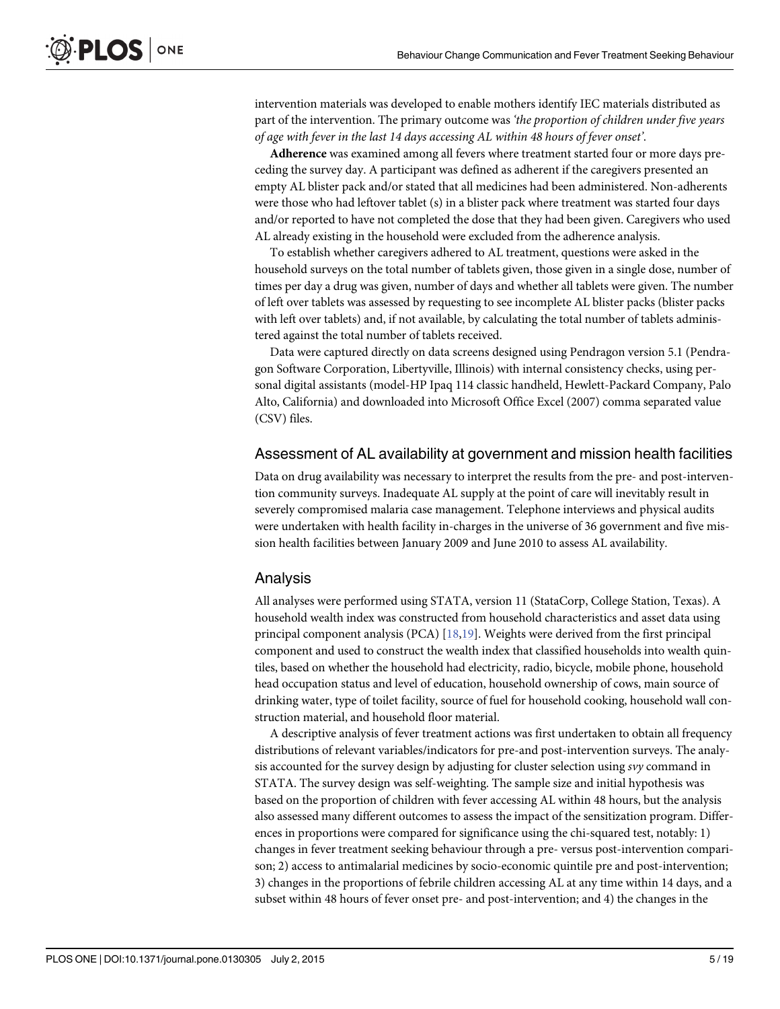<span id="page-4-0"></span>intervention materials was developed to enable mothers identify IEC materials distributed as part of the intervention. The primary outcome was 'the proportion of children under five years of age with fever in the last 14 days accessing AL within 48 hours of fever onset'.

Adherence was examined among all fevers where treatment started four or more days preceding the survey day. A participant was defined as adherent if the caregivers presented an empty AL blister pack and/or stated that all medicines had been administered. Non-adherents were those who had leftover tablet (s) in a blister pack where treatment was started four days and/or reported to have not completed the dose that they had been given. Caregivers who used AL already existing in the household were excluded from the adherence analysis.

To establish whether caregivers adhered to AL treatment, questions were asked in the household surveys on the total number of tablets given, those given in a single dose, number of times per day a drug was given, number of days and whether all tablets were given. The number of left over tablets was assessed by requesting to see incomplete AL blister packs (blister packs with left over tablets) and, if not available, by calculating the total number of tablets administered against the total number of tablets received.

Data were captured directly on data screens designed using Pendragon version 5.1 (Pendragon Software Corporation, Libertyville, Illinois) with internal consistency checks, using personal digital assistants (model-HP Ipaq 114 classic handheld, Hewlett-Packard Company, Palo Alto, California) and downloaded into Microsoft Office Excel (2007) comma separated value (CSV) files.

## Assessment of AL availability at government and mission health facilities

Data on drug availability was necessary to interpret the results from the pre- and post-intervention community surveys. Inadequate AL supply at the point of care will inevitably result in severely compromised malaria case management. Telephone interviews and physical audits were undertaken with health facility in-charges in the universe of 36 government and five mission health facilities between January 2009 and June 2010 to assess AL availability.

# Analysis

All analyses were performed using STATA, version 11 (StataCorp, College Station, Texas). A household wealth index was constructed from household characteristics and asset data using principal component analysis (PCA) [[18,19](#page-16-0)]. Weights were derived from the first principal component and used to construct the wealth index that classified households into wealth quintiles, based on whether the household had electricity, radio, bicycle, mobile phone, household head occupation status and level of education, household ownership of cows, main source of drinking water, type of toilet facility, source of fuel for household cooking, household wall construction material, and household floor material.

A descriptive analysis of fever treatment actions was first undertaken to obtain all frequency distributions of relevant variables/indicators for pre-and post-intervention surveys. The analysis accounted for the survey design by adjusting for cluster selection using svy command in STATA. The survey design was self-weighting. The sample size and initial hypothesis was based on the proportion of children with fever accessing AL within 48 hours, but the analysis also assessed many different outcomes to assess the impact of the sensitization program. Differences in proportions were compared for significance using the chi-squared test, notably: 1) changes in fever treatment seeking behaviour through a pre- versus post-intervention comparison; 2) access to antimalarial medicines by socio-economic quintile pre and post-intervention; 3) changes in the proportions of febrile children accessing AL at any time within 14 days, and a subset within 48 hours of fever onset pre- and post-intervention; and 4) the changes in the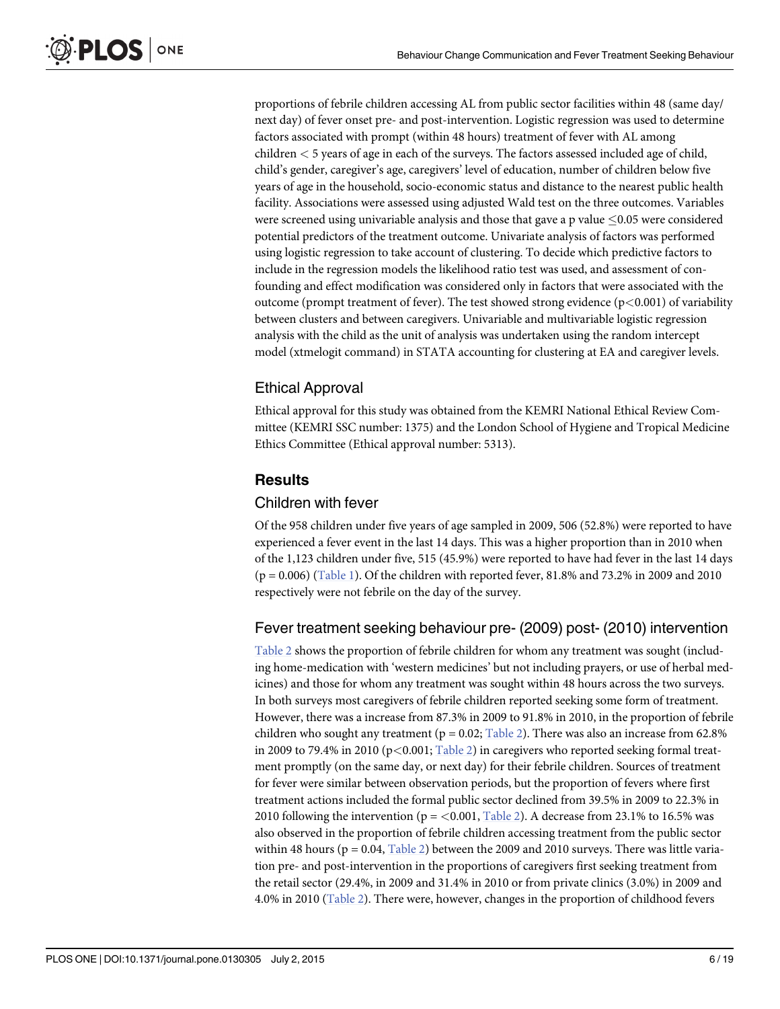<span id="page-5-0"></span>proportions of febrile children accessing AL from public sector facilities within 48 (same day/ next day) of fever onset pre- and post-intervention. Logistic regression was used to determine factors associated with prompt (within 48 hours) treatment of fever with AL among children < 5 years of age in each of the surveys. The factors assessed included age of child, child's gender, caregiver's age, caregivers' level of education, number of children below five years of age in the household, socio-economic status and distance to the nearest public health facility. Associations were assessed using adjusted Wald test on the three outcomes. Variables were screened using univariable analysis and those that gave a p value  $\leq 0.05$  were considered potential predictors of the treatment outcome. Univariate analysis of factors was performed using logistic regression to take account of clustering. To decide which predictive factors to include in the regression models the likelihood ratio test was used, and assessment of confounding and effect modification was considered only in factors that were associated with the outcome (prompt treatment of fever). The test showed strong evidence ( $p<0.001$ ) of variability between clusters and between caregivers. Univariable and multivariable logistic regression analysis with the child as the unit of analysis was undertaken using the random intercept model (xtmelogit command) in STATA accounting for clustering at EA and caregiver levels.

# Ethical Approval

Ethical approval for this study was obtained from the KEMRI National Ethical Review Committee (KEMRI SSC number: 1375) and the London School of Hygiene and Tropical Medicine Ethics Committee (Ethical approval number: 5313).

# **Results**

# Children with fever

Of the 958 children under five years of age sampled in 2009, 506 (52.8%) were reported to have experienced a fever event in the last 14 days. This was a higher proportion than in 2010 when of the 1,123 children under five, 515 (45.9%) were reported to have had fever in the last 14 days  $(p = 0.006)$  [\(Table 1](#page-6-0)). Of the children with reported fever, 81.8% and 73.2% in 2009 and 2010 respectively were not febrile on the day of the survey.

# Fever treatment seeking behaviour pre- (2009) post- (2010) intervention

[Table 2](#page-7-0) shows the proportion of febrile children for whom any treatment was sought (including home-medication with 'western medicines' but not including prayers, or use of herbal medicines) and those for whom any treatment was sought within 48 hours across the two surveys. In both surveys most caregivers of febrile children reported seeking some form of treatment. However, there was a increase from 87.3% in 2009 to 91.8% in 2010, in the proportion of febrile children who sought any treatment ( $p = 0.02$ ; [Table 2](#page-7-0)). There was also an increase from 62.8% in 2009 to 79.4% in 2010 ( $p < 0.001$ ; [Table 2](#page-7-0)) in caregivers who reported seeking formal treatment promptly (on the same day, or next day) for their febrile children. Sources of treatment for fever were similar between observation periods, but the proportion of fevers where first treatment actions included the formal public sector declined from 39.5% in 2009 to 22.3% in 2010 following the intervention ( $p = < 0.001$ , [Table 2](#page-7-0)). A decrease from 23.1% to 16.5% was also observed in the proportion of febrile children accessing treatment from the public sector within 48 hours ( $p = 0.04$ , [Table 2\)](#page-7-0) between the 2009 and 2010 surveys. There was little variation pre- and post-intervention in the proportions of caregivers first seeking treatment from the retail sector (29.4%, in 2009 and 31.4% in 2010 or from private clinics (3.0%) in 2009 and 4.0% in 2010 ([Table 2\)](#page-7-0). There were, however, changes in the proportion of childhood fevers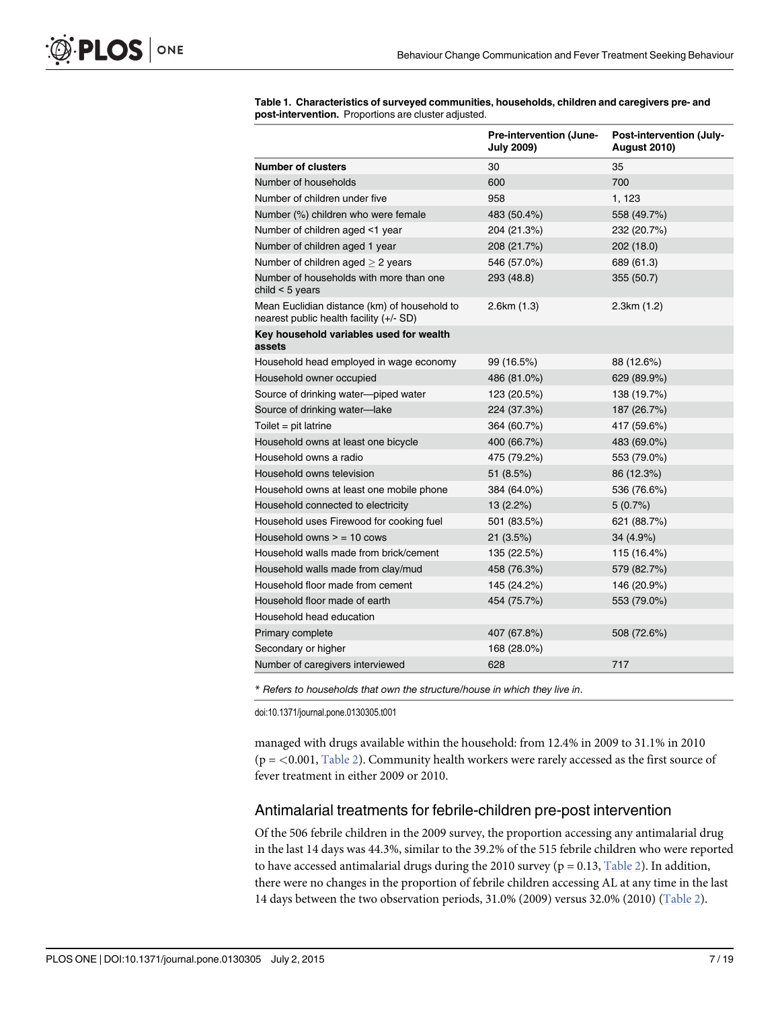# <span id="page-6-0"></span>PLOS ONE

|  | Table 1. Characteristics of surveyed communities, households, children and caregivers pre- and |  |  |
|--|------------------------------------------------------------------------------------------------|--|--|
|  | <b>post-intervention.</b> Proportions are cluster adjusted.                                    |  |  |

|                                                                                         | Pre-intervention (June-<br><b>July 2009)</b> | Post-intervention (July-<br><b>August 2010)</b> |
|-----------------------------------------------------------------------------------------|----------------------------------------------|-------------------------------------------------|
| <b>Number of clusters</b>                                                               | 30                                           | 35                                              |
| Number of households                                                                    | 600                                          | 700                                             |
| Number of children under five                                                           | 958                                          | 1, 123                                          |
| Number (%) children who were female                                                     | 483 (50.4%)                                  | 558 (49.7%)                                     |
| Number of children aged <1 year                                                         | 204 (21.3%)                                  | 232 (20.7%)                                     |
| Number of children aged 1 year                                                          | 208 (21.7%)                                  | 202 (18.0)                                      |
| Number of children aged $> 2$ years                                                     | 546 (57.0%)                                  | 689 (61.3)                                      |
| Number of households with more than one<br>child $<$ 5 years                            | 293 (48.8)                                   | 355 (50.7)                                      |
| Mean Euclidian distance (km) of household to<br>nearest public health facility (+/- SD) | 2.6km (1.3)                                  | 2.3km (1.2)                                     |
| Key household variables used for wealth<br>assets                                       |                                              |                                                 |
| Household head employed in wage economy                                                 | 99 (16.5%)                                   | 88 (12.6%)                                      |
| Household owner occupied                                                                | 486 (81.0%)                                  | 629 (89.9%)                                     |
| Source of drinking water-piped water                                                    | 123 (20.5%)                                  | 138 (19.7%)                                     |
| Source of drinking water-lake                                                           | 224 (37.3%)                                  | 187 (26.7%)                                     |
| Toilet = $pit$ latrine                                                                  | 364 (60.7%)                                  | 417 (59.6%)                                     |
| Household owns at least one bicycle                                                     | 400 (66.7%)                                  | 483 (69.0%)                                     |
| Household owns a radio                                                                  | 475 (79.2%)                                  | 553 (79.0%)                                     |
| Household owns television                                                               | 51 (8.5%)                                    | 86 (12.3%)                                      |
| Household owns at least one mobile phone                                                | 384 (64.0%)                                  | 536 (76.6%)                                     |
| Household connected to electricity                                                      | $13(2.2\%)$                                  | 5 (0.7%)                                        |
| Household uses Firewood for cooking fuel                                                | 501 (83.5%)                                  | 621 (88.7%)                                     |
| Household owns $>$ = 10 cows                                                            | 21 (3.5%)                                    | 34 (4.9%)                                       |
| Household walls made from brick/cement                                                  | 135 (22.5%)                                  | 115 (16.4%)                                     |
| Household walls made from clay/mud                                                      | 458 (76.3%)                                  | 579 (82.7%)                                     |
| Household floor made from cement                                                        | 145 (24.2%)                                  | 146 (20.9%)                                     |
| Household floor made of earth                                                           | 454 (75.7%)                                  | 553 (79.0%)                                     |
| Household head education                                                                |                                              |                                                 |
| Primary complete                                                                        | 407 (67.8%)                                  | 508 (72.6%)                                     |
| Secondary or higher                                                                     | 168 (28.0%)                                  |                                                 |
| Number of caregivers interviewed                                                        | 628                                          | 717                                             |

\* Refers to households that own the structure/house in which they live in.

doi:10.1371/journal.pone.0130305.t001

managed with drugs available within the household: from 12.4% in 2009 to 31.1% in 2010  $(p = < 0.001,$  [Table 2](#page-7-0)). Community health workers were rarely accessed as the first source of fever treatment in either 2009 or 2010.

# Antimalarial treatments for febrile-children pre-post intervention

Of the 506 febrile children in the 2009 survey, the proportion accessing any antimalarial drug in the last 14 days was 44.3%, similar to the 39.2% of the 515 febrile children who were reported to have accessed antimalarial drugs during the 2010 survey ( $p = 0.13$ , [Table 2](#page-7-0)). In addition, there were no changes in the proportion of febrile children accessing AL at any time in the last 14 days between the two observation periods, 31.0% (2009) versus 32.0% (2010) ([Table 2\)](#page-7-0).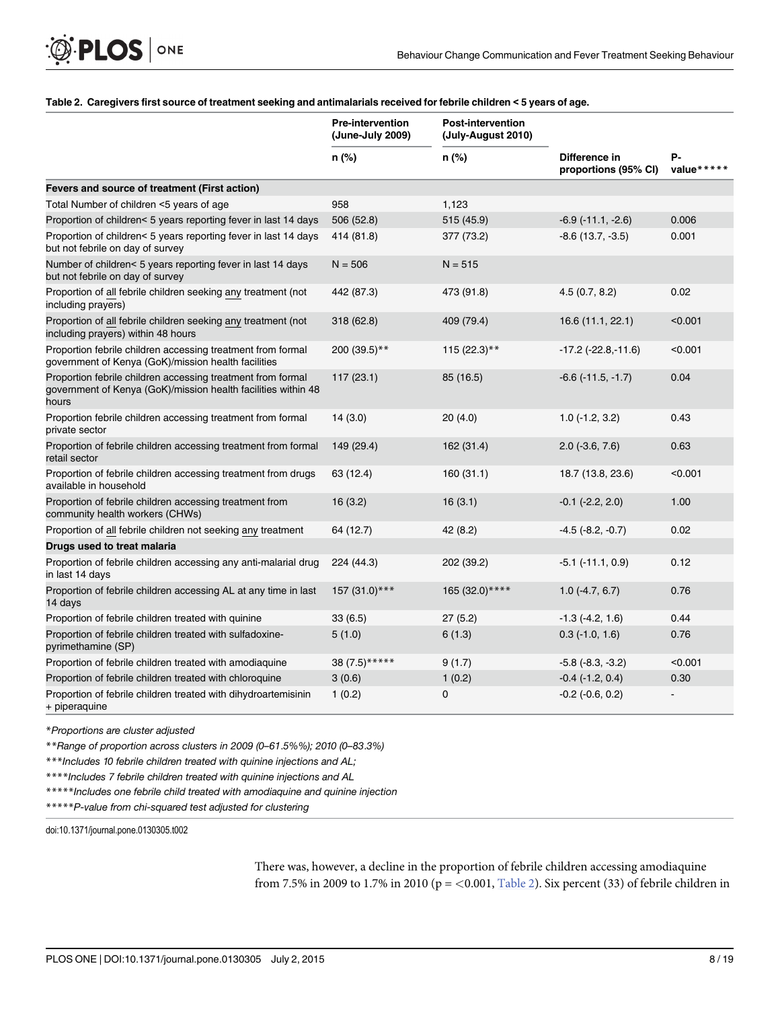## <span id="page-7-0"></span>[Table 2.](#page-5-0) Caregivers first source of treatment seeking and antimalarials received for febrile children < 5 years of age.

|                                                                                                                                       | <b>Pre-intervention</b><br>(June-July 2009) | <b>Post-intervention</b><br>(July-August 2010) |                                       |                  |
|---------------------------------------------------------------------------------------------------------------------------------------|---------------------------------------------|------------------------------------------------|---------------------------------------|------------------|
|                                                                                                                                       | n (%)                                       | $n$ (%)                                        | Difference in<br>proportions (95% CI) | Р-<br>value***** |
| Fevers and source of treatment (First action)                                                                                         |                                             |                                                |                                       |                  |
| Total Number of children <5 years of age                                                                                              | 958                                         | 1,123                                          |                                       |                  |
| Proportion of children< 5 years reporting fever in last 14 days                                                                       | 506 (52.8)                                  | 515 (45.9)                                     | $-6.9(-11.1, -2.6)$                   | 0.006            |
| Proportion of children< 5 years reporting fever in last 14 days<br>but not febrile on day of survey                                   | 414 (81.8)                                  | 377 (73.2)                                     | $-8.6$ (13.7, $-3.5$ )                | 0.001            |
| Number of children< 5 years reporting fever in last 14 days<br>but not febrile on day of survey                                       | $N = 506$                                   | $N = 515$                                      |                                       |                  |
| Proportion of all febrile children seeking any treatment (not<br>including prayers)                                                   | 442 (87.3)                                  | 473 (91.8)                                     | 4.5(0.7, 8.2)                         | 0.02             |
| Proportion of all febrile children seeking any treatment (not<br>including prayers) within 48 hours                                   | 318 (62.8)                                  | 409 (79.4)                                     | 16.6 (11.1, 22.1)                     | < 0.001          |
| Proportion febrile children accessing treatment from formal<br>government of Kenya (GoK)/mission health facilities                    | 200 (39.5)**                                | $115 (22.3)$ **                                | $-17.2$ ( $-22.8,-11.6$ )             | < 0.001          |
| Proportion febrile children accessing treatment from formal<br>government of Kenya (GoK)/mission health facilities within 48<br>hours | 117 (23.1)                                  | 85 (16.5)                                      | $-6.6(-11.5, -1.7)$                   | 0.04             |
| Proportion febrile children accessing treatment from formal<br>private sector                                                         | 14(3.0)                                     | 20 (4.0)                                       | $1.0$ (-1.2, 3.2)                     | 0.43             |
| Proportion of febrile children accessing treatment from formal<br>retail sector                                                       | 149 (29.4)                                  | 162 (31.4)                                     | $2.0$ (-3.6, 7.6)                     | 0.63             |
| Proportion of febrile children accessing treatment from drugs<br>available in household                                               | 63 (12.4)                                   | 160 (31.1)                                     | 18.7 (13.8, 23.6)                     | < 0.001          |
| Proportion of febrile children accessing treatment from<br>community health workers (CHWs)                                            | 16(3.2)                                     | 16(3.1)                                        | $-0.1$ $(-2.2, 2.0)$                  | 1.00             |
| Proportion of all febrile children not seeking any treatment                                                                          | 64 (12.7)                                   | 42 (8.2)                                       | $-4.5$ $(-8.2, -0.7)$                 | 0.02             |
| Drugs used to treat malaria                                                                                                           |                                             |                                                |                                       |                  |
| Proportion of febrile children accessing any anti-malarial drug<br>in last 14 days                                                    | 224 (44.3)                                  | 202 (39.2)                                     | $-5.1$ ( $-11.1, 0.9$ )               | 0.12             |
| Proportion of febrile children accessing AL at any time in last<br>14 days                                                            | 157 (31.0)***                               | 165 (32.0) ****                                | $1.0(-4.7, 6.7)$                      | 0.76             |
| Proportion of febrile children treated with quinine                                                                                   | 33(6.5)                                     | 27(5.2)                                        | $-1.3$ $(-4.2, 1.6)$                  | 0.44             |
| Proportion of febrile children treated with sulfadoxine-<br>pyrimethamine (SP)                                                        | 5(1.0)                                      | 6(1.3)                                         | $0.3$ ( $-1.0, 1.6$ )                 | 0.76             |
| Proportion of febrile children treated with amodiaquine                                                                               | 38 (7.5)*****                               | 9(1.7)                                         | $-5.8$ $(-8.3, -3.2)$                 | < 0.001          |
| Proportion of febrile children treated with chloroquine                                                                               | 3(0.6)                                      | 1(0.2)                                         | $-0.4$ $(-1.2, 0.4)$                  | 0.30             |
| Proportion of febrile children treated with dihydroartemisinin<br>+ piperaquine                                                       | 1(0.2)                                      | $\mathbf 0$                                    | $-0.2$ $(-0.6, 0.2)$                  |                  |

\*Proportions are cluster adjusted

\*\*Range of proportion across clusters in 2009 (0–61.5%%); 2010 (0–83.3%)

\*\*\*Includes 10 febrile children treated with quinine injections and AL;

\*\*\*\*Includes 7 febrile children treated with quinine injections and AL

\*\*\*\*\*Includes one febrile child treated with amodiaquine and quinine injection

\*\*\*\*\*P-value from chi-squared test adjusted for clustering

doi:10.1371/journal.pone.0130305.t002

There was, however, a decline in the proportion of febrile children accessing amodiaquine from 7.5% in 2009 to 1.7% in 2010 ( $p = < 0.001$ , Table 2). Six percent (33) of febrile children in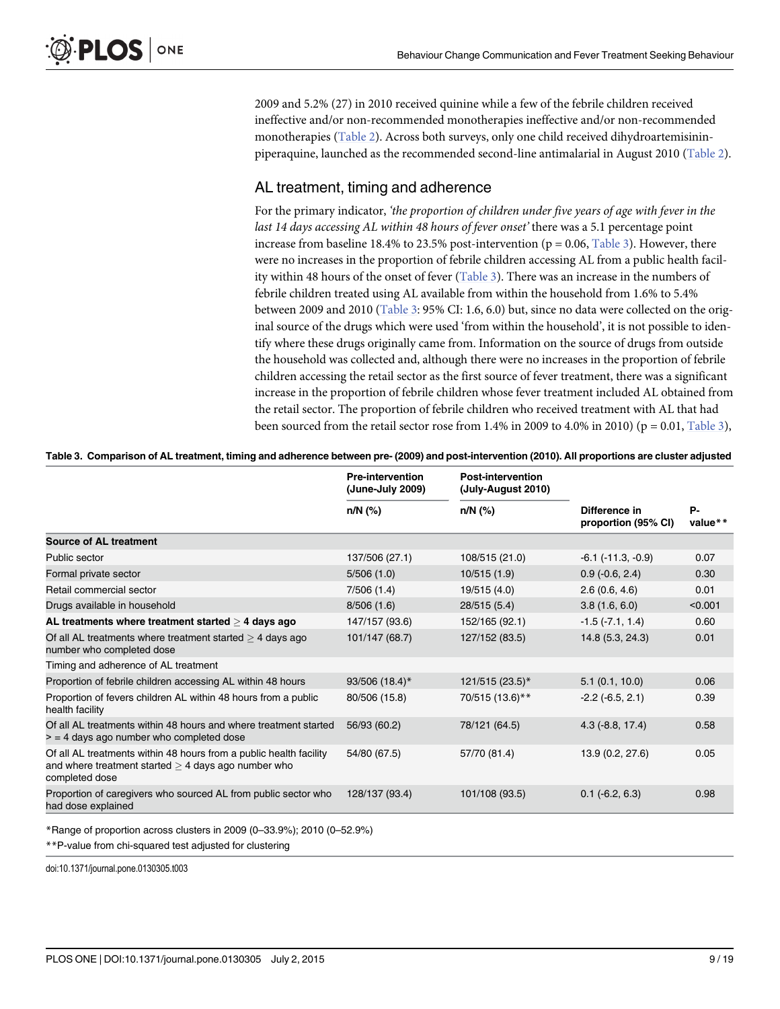<span id="page-8-0"></span>2009 and 5.2% (27) in 2010 received quinine while a few of the febrile children received ineffective and/or non-recommended monotherapies ineffective and/or non-recommended monotherapies [\(Table 2\)](#page-7-0). Across both surveys, only one child received dihydroartemisininpiperaquine, launched as the recommended second-line antimalarial in August 2010 [\(Table 2\)](#page-7-0).

# AL treatment, timing and adherence

For the primary indicator, 'the proportion of children under five years of age with fever in the last 14 days accessing AL within 48 hours of fever onset' there was a 5.1 percentage point increase from baseline 18.4% to 23.5% post-intervention ( $p = 0.06$ , Table 3). However, there were no increases in the proportion of febrile children accessing AL from a public health facility within 48 hours of the onset of fever (Table 3). There was an increase in the numbers of febrile children treated using AL available from within the household from 1.6% to 5.4% between 2009 and 2010 (Table 3: 95% CI: 1.6, 6.0) but, since no data were collected on the original source of the drugs which were used 'from within the household', it is not possible to identify where these drugs originally came from. Information on the source of drugs from outside the household was collected and, although there were no increases in the proportion of febrile children accessing the retail sector as the first source of fever treatment, there was a significant increase in the proportion of febrile children whose fever treatment included AL obtained from the retail sector. The proportion of febrile children who received treatment with AL that had been sourced from the retail sector rose from 1.4% in 2009 to 4.0% in 2010) ( $p = 0.01$ , Table 3),

|                                                                                                                                               | <b>Pre-intervention</b><br>(June-July 2009) | <b>Post-intervention</b><br>(July-August 2010) |                                      |               |
|-----------------------------------------------------------------------------------------------------------------------------------------------|---------------------------------------------|------------------------------------------------|--------------------------------------|---------------|
|                                                                                                                                               | n/N (%)                                     | n/N (%)                                        | Difference in<br>proportion (95% CI) | Р-<br>value** |
| Source of AL treatment                                                                                                                        |                                             |                                                |                                      |               |
| Public sector                                                                                                                                 | 137/506 (27.1)                              | 108/515 (21.0)                                 | $-6.1$ ( $-11.3$ , $-0.9$ )          | 0.07          |
| Formal private sector                                                                                                                         | 5/506(1.0)                                  | 10/515(1.9)                                    | $0.9$ ( $-0.6$ , $2.4$ )             | 0.30          |
| Retail commercial sector                                                                                                                      | 7/506(1.4)                                  | 19/515 (4.0)                                   | 2.6(0.6, 4.6)                        | 0.01          |
| Drugs available in household                                                                                                                  | 8/506(1.6)                                  | 28/515 (5.4)                                   | 3.8(1.6, 6.0)                        | < 0.001       |
| AL treatments where treatment started $>$ 4 days ago                                                                                          | 147/157 (93.6)                              | 152/165 (92.1)                                 | $-1.5(-7.1, 1.4)$                    | 0.60          |
| Of all AL treatments where treatment started $>$ 4 days ago<br>number who completed dose                                                      | 101/147 (68.7)                              | 127/152 (83.5)                                 | 14.8(5.3, 24.3)                      | 0.01          |
| Timing and adherence of AL treatment                                                                                                          |                                             |                                                |                                      |               |
| Proportion of febrile children accessing AL within 48 hours                                                                                   | 93/506 (18.4)*                              | 121/515 (23.5)*                                | 5.1(0.1, 10.0)                       | 0.06          |
| Proportion of fevers children AL within 48 hours from a public<br>health facility                                                             | 80/506 (15.8)                               | 70/515 (13.6)**                                | $-2.2$ ( $-6.5, 2.1$ )               | 0.39          |
| Of all AL treatments within 48 hours and where treatment started<br>$\ge$ = 4 days ago number who completed dose                              | 56/93 (60.2)                                | 78/121 (64.5)                                  | $4.3$ ( $-8.8$ , 17.4)               | 0.58          |
| Of all AL treatments within 48 hours from a public health facility<br>and where treatment started $>$ 4 days ago number who<br>completed dose | 54/80 (67.5)                                | 57/70 (81.4)                                   | 13.9 (0.2, 27.6)                     | 0.05          |
| Proportion of caregivers who sourced AL from public sector who<br>had dose explained                                                          | 128/137 (93.4)                              | 101/108 (93.5)                                 | $0.1$ (-6.2, 6.3)                    | 0.98          |

|  | Table 3. Comparison of AL treatment, timing and adherence between pre- (2009) and post-intervention (2010). All proportions are cluster adjusted |  |  |  |  |
|--|--------------------------------------------------------------------------------------------------------------------------------------------------|--|--|--|--|
|  |                                                                                                                                                  |  |  |  |  |

\*Range of proportion across clusters in 2009 (0–33.9%); 2010 (0–52.9%)

\*\*P-value from chi-squared test adjusted for clustering

doi:10.1371/journal.pone.0130305.t003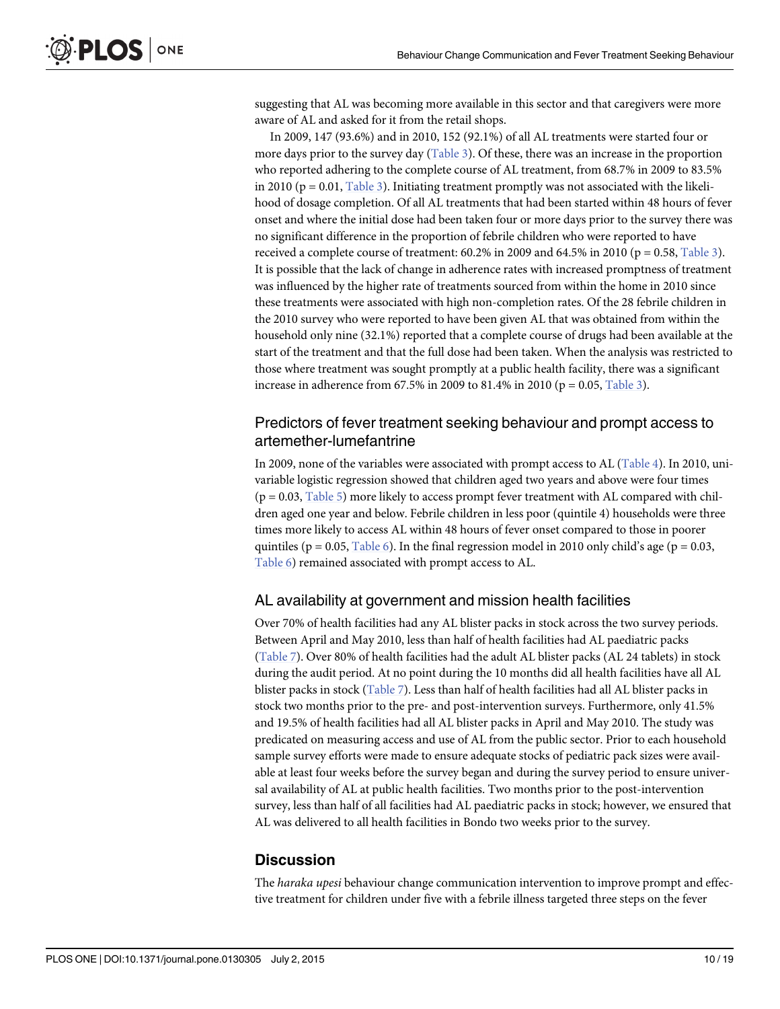<span id="page-9-0"></span>suggesting that AL was becoming more available in this sector and that caregivers were more aware of AL and asked for it from the retail shops.

In 2009, 147 (93.6%) and in 2010, 152 (92.1%) of all AL treatments were started four or more days prior to the survey day  $(Table 3)$ . Of these, there was an increase in the proportion who reported adhering to the complete course of AL treatment, from 68.7% in 2009 to 83.5% in 2010 ( $p = 0.01$ , [Table 3\)](#page-8-0). Initiating treatment promptly was not associated with the likelihood of dosage completion. Of all AL treatments that had been started within 48 hours of fever onset and where the initial dose had been taken four or more days prior to the survey there was no significant difference in the proportion of febrile children who were reported to have received a complete course of treatment:  $60.2\%$  in 2009 and  $64.5\%$  in 2010 (p = 0.58, [Table 3\)](#page-8-0). It is possible that the lack of change in adherence rates with increased promptness of treatment was influenced by the higher rate of treatments sourced from within the home in 2010 since these treatments were associated with high non-completion rates. Of the 28 febrile children in the 2010 survey who were reported to have been given AL that was obtained from within the household only nine (32.1%) reported that a complete course of drugs had been available at the start of the treatment and that the full dose had been taken. When the analysis was restricted to those where treatment was sought promptly at a public health facility, there was a significant increase in adherence from 67.5% in 2009 to 81.4% in 2010 ( $p = 0.05$ , [Table 3](#page-8-0)).

# Predictors of fever treatment seeking behaviour and prompt access to artemether-lumefantrine

In 2009, none of the variables were associated with prompt access to AL ([Table 4](#page-10-0)). In 2010, univariable logistic regression showed that children aged two years and above were four times  $(p = 0.03,$  [Table 5\)](#page-12-0) more likely to access prompt fever treatment with AL compared with children aged one year and below. Febrile children in less poor (quintile 4) households were three times more likely to access AL within 48 hours of fever onset compared to those in poorer quintiles ( $p = 0.05$ , [Table 6](#page-13-0)). In the final regression model in 2010 only child's age ( $p = 0.03$ , [Table 6](#page-13-0)) remained associated with prompt access to AL.

# AL availability at government and mission health facilities

Over 70% of health facilities had any AL blister packs in stock across the two survey periods. Between April and May 2010, less than half of health facilities had AL paediatric packs [\(Table 7\)](#page-14-0). Over 80% of health facilities had the adult AL blister packs (AL 24 tablets) in stock during the audit period. At no point during the 10 months did all health facilities have all AL blister packs in stock ([Table 7](#page-14-0)). Less than half of health facilities had all AL blister packs in stock two months prior to the pre- and post-intervention surveys. Furthermore, only 41.5% and 19.5% of health facilities had all AL blister packs in April and May 2010. The study was predicated on measuring access and use of AL from the public sector. Prior to each household sample survey efforts were made to ensure adequate stocks of pediatric pack sizes were available at least four weeks before the survey began and during the survey period to ensure universal availability of AL at public health facilities. Two months prior to the post-intervention survey, less than half of all facilities had AL paediatric packs in stock; however, we ensured that AL was delivered to all health facilities in Bondo two weeks prior to the survey.

# **Discussion**

The *haraka upesi* behaviour change communication intervention to improve prompt and effective treatment for children under five with a febrile illness targeted three steps on the fever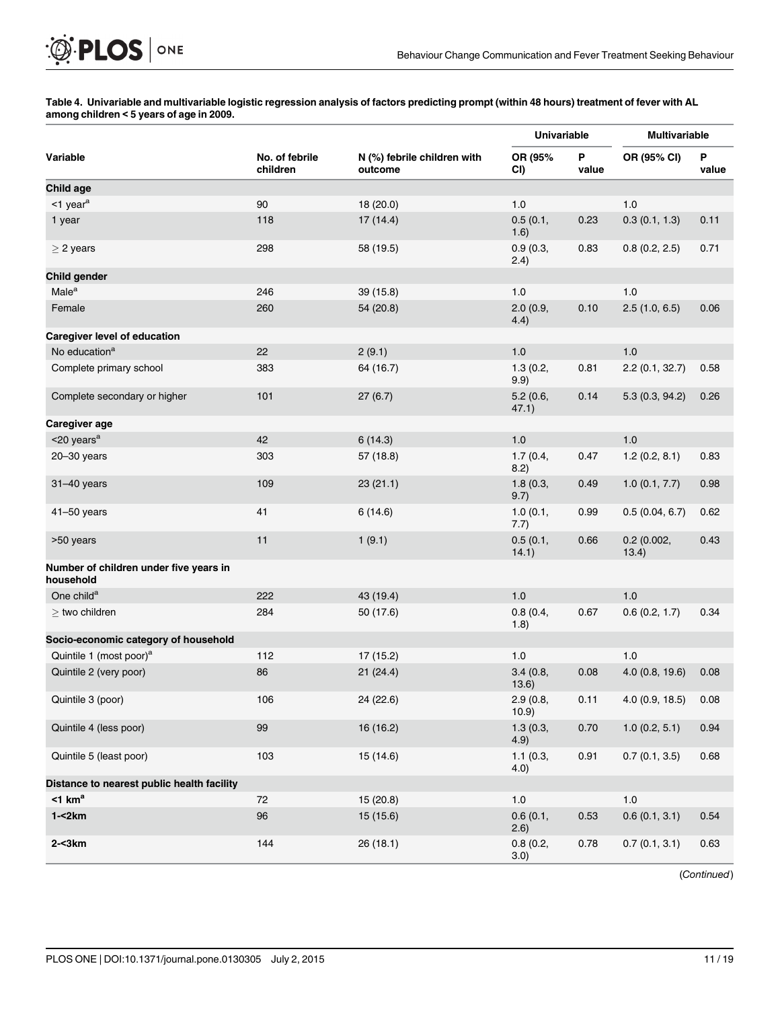## [Table 4.](#page-9-0) Univariable and multivariable logistic regression analysis of factors predicting prompt (within 48 hours) treatment of fever with AL among children < 5 years of age in 2009.

|                                                     |                            |                                        | Univariable       |            | <b>Multivariable</b> |            |
|-----------------------------------------------------|----------------------------|----------------------------------------|-------------------|------------|----------------------|------------|
| Variable                                            | No. of febrile<br>children | N (%) febrile children with<br>outcome | OR (95%<br>CI)    | P<br>value | OR (95% CI)          | Ρ<br>value |
| Child age                                           |                            |                                        |                   |            |                      |            |
| $<$ 1 year <sup>a</sup>                             | 90                         | 18 (20.0)                              | 1.0               |            | 1.0                  |            |
| 1 year                                              | 118                        | 17(14.4)                               | 0.5(0.1,<br>1.6)  | 0.23       | 0.3(0.1, 1.3)        | 0.11       |
| $>$ 2 years                                         | 298                        | 58 (19.5)                              | 0.9(0.3,<br>2.4)  | 0.83       | 0.8(0.2, 2.5)        | 0.71       |
| Child gender                                        |                            |                                        |                   |            |                      |            |
| Male <sup>a</sup>                                   | 246                        | 39(15.8)                               | 1.0               |            | 1.0                  |            |
| Female                                              | 260                        | 54 (20.8)                              | 2.0(0.9,<br>4.4)  | 0.10       | 2.5(1.0, 6.5)        | 0.06       |
| Caregiver level of education                        |                            |                                        |                   |            |                      |            |
| No education <sup>a</sup>                           | 22                         | 2(9.1)                                 | 1.0               |            | 1.0                  |            |
| Complete primary school                             | 383                        | 64 (16.7)                              | 1.3(0.2,<br>9.9)  | 0.81       | 2.2(0.1, 32.7)       | 0.58       |
| Complete secondary or higher                        | 101                        | 27(6.7)                                | 5.2(0.6,<br>47.1) | 0.14       | 5.3(0.3, 94.2)       | 0.26       |
| Caregiver age                                       |                            |                                        |                   |            |                      |            |
| $<$ 20 years $a$                                    | 42                         | 6(14.3)                                | 1.0               |            | 1.0                  |            |
| $20 - 30$ years                                     | 303                        | 57 (18.8)                              | 1.7(0.4,<br>8.2)  | 0.47       | 1.2(0.2, 8.1)        | 0.83       |
| 31-40 years                                         | 109                        | 23(21.1)                               | 1.8(0.3,<br>9.7)  | 0.49       | 1.0(0.1, 7.7)        | 0.98       |
| $41 - 50$ years                                     | 41                         | 6(14.6)                                | 1.0(0.1,<br>7.7)  | 0.99       | 0.5(0.04, 6.7)       | 0.62       |
| >50 years                                           | 11                         | 1(9.1)                                 | 0.5(0.1,<br>14.1) | 0.66       | 0.2(0.002,<br>13.4)  | 0.43       |
| Number of children under five years in<br>household |                            |                                        |                   |            |                      |            |
| One child <sup>a</sup>                              | 222                        | 43 (19.4)                              | 1.0               |            | 1.0                  |            |
| $>$ two children                                    | 284                        | 50 (17.6)                              | 0.8(0.4,<br>1.8)  | 0.67       | 0.6(0.2, 1.7)        | 0.34       |
| Socio-economic category of household                |                            |                                        |                   |            |                      |            |
| Quintile 1 (most poor) <sup>a</sup>                 | 112                        | 17(15.2)                               | $1.0$             |            | 1.0                  |            |
| Quintile 2 (very poor)                              | 86                         | 21(24.4)                               | 3.4(0.8,<br>13.6) | 0.08       | 4.0(0.8, 19.6)       | 0.08       |
| Quintile 3 (poor)                                   | 106                        | 24 (22.6)                              | 2.9(0.8,<br>10.9) | 0.11       | 4.0(0.9, 18.5)       | 0.08       |
| Quintile 4 (less poor)                              | 99                         | 16(16.2)                               | 1.3(0.3,<br>4.9)  | 0.70       | 1.0(0.2, 5.1)        | 0.94       |
| Quintile 5 (least poor)                             | 103                        | 15 (14.6)                              | 1.1(0.3,<br>4.0)  | 0.91       | 0.7(0.1, 3.5)        | 0.68       |
| Distance to nearest public health facility          |                            |                                        |                   |            |                      |            |
| $<$ 1 km <sup>a</sup>                               | $72\,$                     | 15(20.8)                               | $1.0$             |            | $1.0$                |            |
| $1 - 2km$                                           | 96                         | 15 (15.6)                              | 0.6(0.1,<br>2.6)  | 0.53       | 0.6(0.1, 3.1)        | 0.54       |
| $2 - 3km$                                           | 144                        | 26(18.1)                               | 0.8(0.2,<br>3.0)  | 0.78       | 0.7(0.1, 3.1)        | 0.63       |

(Continued)

PLOS | ONE

<span id="page-10-0"></span> $\mathbb{Q}$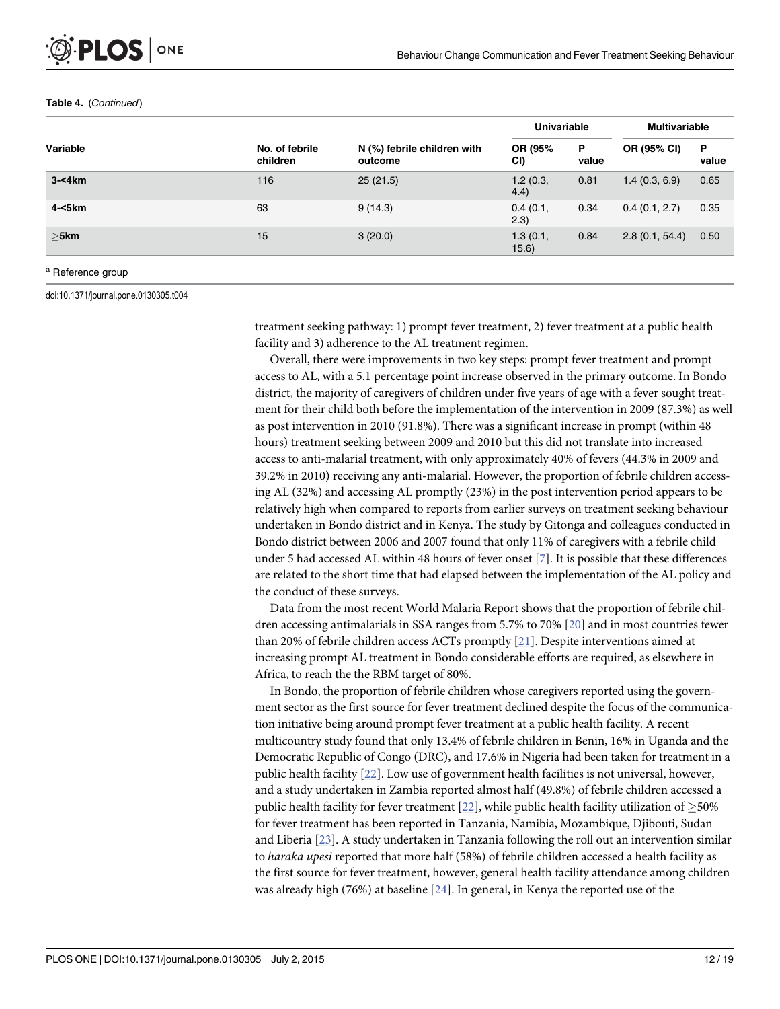|           |                            |                                        | Univariable       |            | <b>Multivariable</b> |            |
|-----------|----------------------------|----------------------------------------|-------------------|------------|----------------------|------------|
| Variable  | No. of febrile<br>children | N (%) febrile children with<br>outcome | OR (95%<br>CI)    | P<br>value | OR (95% CI)          | P<br>value |
| $3 - 4km$ | 116                        | 25(21.5)                               | 1.2(0.3,<br>4.4)  | 0.81       | 1.4(0.3, 6.9)        | 0.65       |
| 4-<5km    | 63                         | 9(14.3)                                | 0.4(0.1,<br>(2.3) | 0.34       | 0.4(0.1, 2.7)        | 0.35       |
| $>5$ km   | 15                         | 3(20.0)                                | 1.3(0.1,<br>15.6) | 0.84       | 2.8(0.1, 54.4)       | 0.50       |
|           |                            |                                        |                   |            |                      |            |

#### <span id="page-11-0"></span>Table 4. (Continued)

a Reference group

doi:10.1371/journal.pone.0130305.t004

treatment seeking pathway: 1) prompt fever treatment, 2) fever treatment at a public health facility and 3) adherence to the AL treatment regimen.

Overall, there were improvements in two key steps: prompt fever treatment and prompt access to AL, with a 5.1 percentage point increase observed in the primary outcome. In Bondo district, the majority of caregivers of children under five years of age with a fever sought treatment for their child both before the implementation of the intervention in 2009 (87.3%) as well as post intervention in 2010 (91.8%). There was a significant increase in prompt (within 48 hours) treatment seeking between 2009 and 2010 but this did not translate into increased access to anti-malarial treatment, with only approximately 40% of fevers (44.3% in 2009 and 39.2% in 2010) receiving any anti-malarial. However, the proportion of febrile children accessing AL (32%) and accessing AL promptly (23%) in the post intervention period appears to be relatively high when compared to reports from earlier surveys on treatment seeking behaviour undertaken in Bondo district and in Kenya. The study by Gitonga and colleagues conducted in Bondo district between 2006 and 2007 found that only 11% of caregivers with a febrile child under 5 had accessed AL within 48 hours of fever onset [[7](#page-16-0)]. It is possible that these differences are related to the short time that had elapsed between the implementation of the AL policy and the conduct of these surveys.

Data from the most recent World Malaria Report shows that the proportion of febrile children accessing antimalarials in SSA ranges from 5.7% to 70% [[20](#page-16-0)] and in most countries fewer than 20% of febrile children access ACTs promptly [\[21\]](#page-16-0). Despite interventions aimed at increasing prompt AL treatment in Bondo considerable efforts are required, as elsewhere in Africa, to reach the the RBM target of 80%.

In Bondo, the proportion of febrile children whose caregivers reported using the government sector as the first source for fever treatment declined despite the focus of the communication initiative being around prompt fever treatment at a public health facility. A recent multicountry study found that only 13.4% of febrile children in Benin, 16% in Uganda and the Democratic Republic of Congo (DRC), and 17.6% in Nigeria had been taken for treatment in a public health facility [\[22\]](#page-16-0). Low use of government health facilities is not universal, however, and a study undertaken in Zambia reported almost half (49.8%) of febrile children accessed a public health facility for fever treatment [[22\]](#page-16-0), while public health facility utilization of  $\geq$ 50% for fever treatment has been reported in Tanzania, Namibia, Mozambique, Djibouti, Sudan and Liberia [[23](#page-17-0)]. A study undertaken in Tanzania following the roll out an intervention similar to haraka upesi reported that more half (58%) of febrile children accessed a health facility as the first source for fever treatment, however, general health facility attendance among children was already high (76%) at baseline [\[24](#page-17-0)]. In general, in Kenya the reported use of the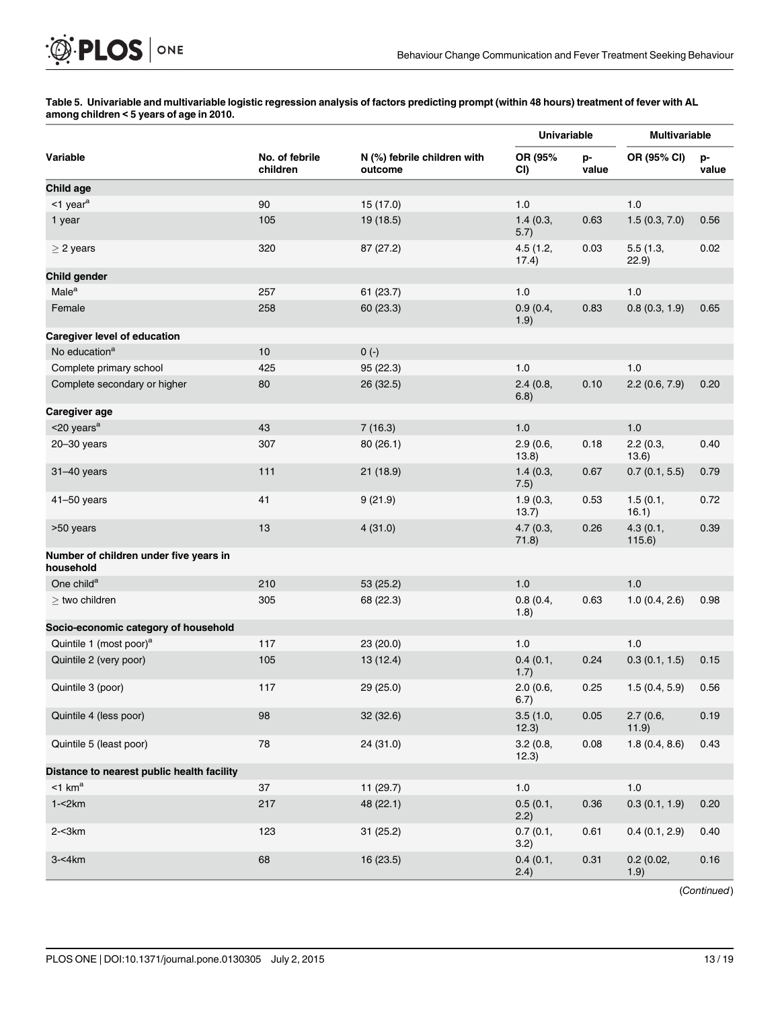## [Table 5.](#page-9-0) Univariable and multivariable logistic regression analysis of factors predicting prompt (within 48 hours) treatment of fever with AL among children < 5 years of age in 2010.

|                                                     |                            |                                        | <b>Univariable</b> |             | <b>Multivariable</b> |             |
|-----------------------------------------------------|----------------------------|----------------------------------------|--------------------|-------------|----------------------|-------------|
| Variable                                            | No. of febrile<br>children | N (%) febrile children with<br>outcome | OR (95%<br>CI)     | p-<br>value | OR (95% CI)          | p-<br>value |
| <b>Child age</b>                                    |                            |                                        |                    |             |                      |             |
| $<$ 1 year <sup>a</sup>                             | 90                         | 15 (17.0)                              | 1.0                |             | 1.0                  |             |
| 1 year                                              | 105                        | 19 (18.5)                              | 1.4(0.3,<br>5.7)   | 0.63        | 1.5(0.3, 7.0)        | 0.56        |
| $\geq$ 2 years                                      | 320                        | 87 (27.2)                              | 4.5(1.2,<br>17.4)  | 0.03        | 5.5(1.3,<br>22.9)    | 0.02        |
| Child gender                                        |                            |                                        |                    |             |                      |             |
| Male <sup>a</sup>                                   | 257                        | 61(23.7)                               | 1.0                |             | 1.0                  |             |
| Female                                              | 258                        | 60 (23.3)                              | 0.9(0.4,<br>1.9)   | 0.83        | 0.8(0.3, 1.9)        | 0.65        |
| Caregiver level of education                        |                            |                                        |                    |             |                      |             |
| No education <sup>a</sup>                           | 10                         | $0(-)$                                 |                    |             |                      |             |
| Complete primary school                             | 425                        | 95 (22.3)                              | 1.0                |             | 1.0                  |             |
| Complete secondary or higher                        | 80                         | 26 (32.5)                              | 2.4(0.8,<br>6.8)   | 0.10        | 2.2(0.6, 7.9)        | 0.20        |
| Caregiver age                                       |                            |                                        |                    |             |                      |             |
| $<$ 20 years <sup>a</sup>                           | 43                         | 7(16.3)                                | 1.0                |             | 1.0                  |             |
| $20 - 30$ years                                     | 307                        | 80(26.1)                               | 2.9(0.6,<br>13.8)  | 0.18        | 2.2(0.3,<br>13.6)    | 0.40        |
| 31-40 years                                         | 111                        | 21(18.9)                               | 1.4(0.3,<br>7.5)   | 0.67        | 0.7(0.1, 5.5)        | 0.79        |
| $41 - 50$ years                                     | 41                         | 9(21.9)                                | 1.9(0.3,<br>13.7)  | 0.53        | 1.5(0.1,<br>16.1)    | 0.72        |
| >50 years                                           | 13                         | 4(31.0)                                | 4.7(0.3,<br>71.8)  | 0.26        | 4.3(0.1,<br>115.6)   | 0.39        |
| Number of children under five years in<br>household |                            |                                        |                    |             |                      |             |
| One child <sup>a</sup>                              | 210                        | 53 (25.2)                              | 1.0                |             | 1.0                  |             |
| $\ge$ two children                                  | 305                        | 68 (22.3)                              | 0.8(0.4,<br>1.8)   | 0.63        | 1.0(0.4, 2.6)        | 0.98        |
| Socio-economic category of household                |                            |                                        |                    |             |                      |             |
| Quintile 1 (most poor) <sup>a</sup>                 | 117                        | 23 (20.0)                              | 1.0                |             | 1.0                  |             |
| Quintile 2 (very poor)                              | 105                        | 13(12.4)                               | 0.4(0.1,<br>1.7)   | 0.24        | 0.3(0.1, 1.5)        | 0.15        |
| Quintile 3 (poor)                                   | 117                        | 29 (25.0)                              | 2.0(0.6,<br>6.7)   | 0.25        | 1.5(0.4, 5.9)        | 0.56        |
| Quintile 4 (less poor)                              | 98                         | 32 (32.6)                              | 3.5(1.0,<br>12.3)  | 0.05        | 2.7(0.6,<br>11.9)    | 0.19        |
| Quintile 5 (least poor)                             | 78                         | 24 (31.0)                              | 3.2(0.8,<br>12.3)  | 0.08        | 1.8(0.4, 8.6)        | 0.43        |
| Distance to nearest public health facility          |                            |                                        |                    |             |                      |             |
| $<$ 1 km <sup>a</sup>                               | 37                         | 11 (29.7)                              | $1.0\,$            |             | $1.0\,$              |             |
| $1 - 2km$                                           | 217                        | 48 (22.1)                              | 0.5(0.1,<br>2.2)   | 0.36        | 0.3(0.1, 1.9)        | 0.20        |
| $2 - 3km$                                           | 123                        | 31 (25.2)                              | 0.7(0.1,<br>3.2)   | 0.61        | 0.4(0.1, 2.9)        | 0.40        |
| $3 - 4km$                                           | 68                         | 16 (23.5)                              | 0.4(0.1,<br>2.4)   | 0.31        | 0.2(0.02,<br>1.9)    | 0.16        |

(Continued)

PLOS | ONE

<span id="page-12-0"></span> $\bigcirc$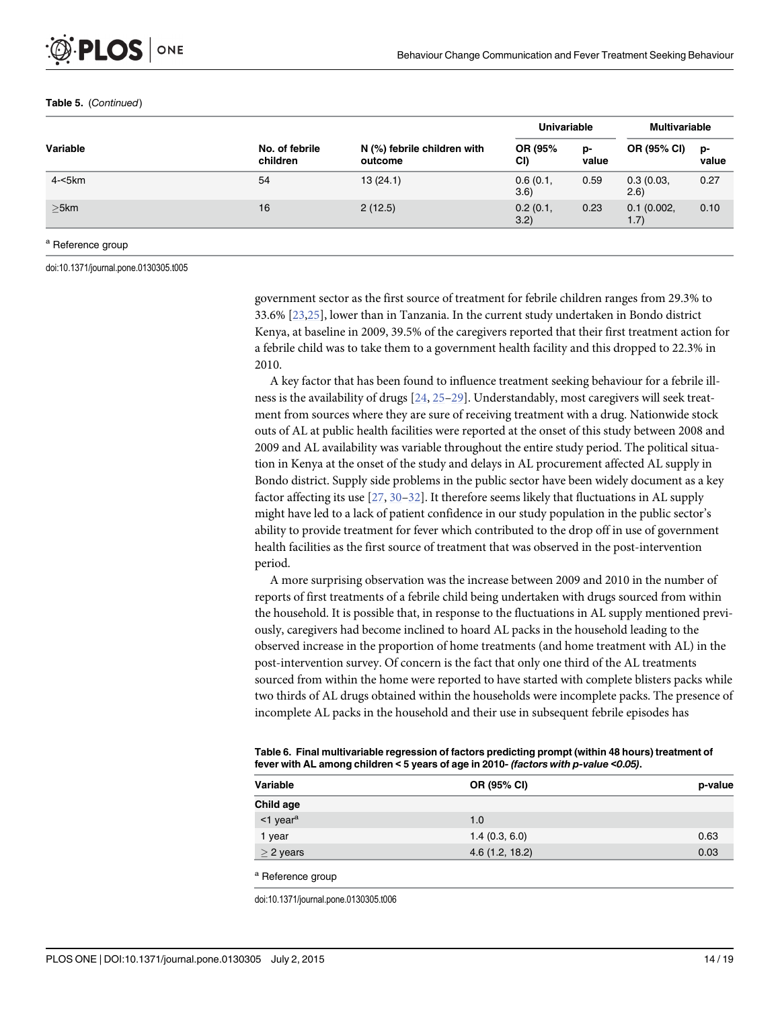## <span id="page-13-0"></span>Table 5. (Continued)

|           |                            |                                        | <b>Univariable</b> |             | <b>Multivariable</b> |             |
|-----------|----------------------------|----------------------------------------|--------------------|-------------|----------------------|-------------|
| Variable  | No. of febrile<br>children | N (%) febrile children with<br>outcome | OR (95%<br>CI)     | p-<br>value | OR (95% CI)          | p-<br>value |
| $4 - 5km$ | 54                         | 13(24.1)                               | 0.6(0.1,<br>3.6)   | 0.59        | 0.3(0.03,<br>(2.6)   | 0.27        |
| $>5$ km   | 16                         | 2(12.5)                                | 0.2(0.1,<br>3.2)   | 0.23        | 0.1(0.002,<br>1.7)   | 0.10        |

### <sup>a</sup> Reference group

doi:10.1371/journal.pone.0130305.t005

government sector as the first source of treatment for febrile children ranges from 29.3% to 33.6% [[23](#page-17-0),[25](#page-17-0)], lower than in Tanzania. In the current study undertaken in Bondo district Kenya, at baseline in 2009, 39.5% of the caregivers reported that their first treatment action for a febrile child was to take them to a government health facility and this dropped to 22.3% in 2010.

A key factor that has been found to influence treatment seeking behaviour for a febrile illness is the availability of drugs [[24](#page-17-0), [25](#page-17-0)–[29\]](#page-17-0). Understandably, most caregivers will seek treatment from sources where they are sure of receiving treatment with a drug. Nationwide stock outs of AL at public health facilities were reported at the onset of this study between 2008 and 2009 and AL availability was variable throughout the entire study period. The political situation in Kenya at the onset of the study and delays in AL procurement affected AL supply in Bondo district. Supply side problems in the public sector have been widely document as a key factor affecting its use  $[27, 30-32]$  $[27, 30-32]$  $[27, 30-32]$  $[27, 30-32]$  $[27, 30-32]$  $[27, 30-32]$  $[27, 30-32]$ . It therefore seems likely that fluctuations in AL supply might have led to a lack of patient confidence in our study population in the public sector's ability to provide treatment for fever which contributed to the drop off in use of government health facilities as the first source of treatment that was observed in the post-intervention period.

A more surprising observation was the increase between 2009 and 2010 in the number of reports of first treatments of a febrile child being undertaken with drugs sourced from within the household. It is possible that, in response to the fluctuations in AL supply mentioned previously, caregivers had become inclined to hoard AL packs in the household leading to the observed increase in the proportion of home treatments (and home treatment with AL) in the post-intervention survey. Of concern is the fact that only one third of the AL treatments sourced from within the home were reported to have started with complete blisters packs while two thirds of AL drugs obtained within the households were incomplete packs. The presence of incomplete AL packs in the household and their use in subsequent febrile episodes has

| Table 6. Final multivariable regression of factors predicting prompt (within 48 hours) treatment of |  |
|-----------------------------------------------------------------------------------------------------|--|
| fever with AL among children < 5 years of age in 2010- (factors with p-value <0.05).                |  |

| p-value | OR (95% CI)    | Variable              |
|---------|----------------|-----------------------|
|         |                | Child age             |
|         | 1.0            | $1$ year <sup>a</sup> |
| 0.63    | 1.4(0.3, 6.0)  | 1 year                |
| 0.03    | 4.6(1.2, 18.2) | $\geq$ 2 years        |
|         |                | $\sim$ $-$            |

<sup>a</sup> Reference group

doi:10.1371/journal.pone.0130305.t006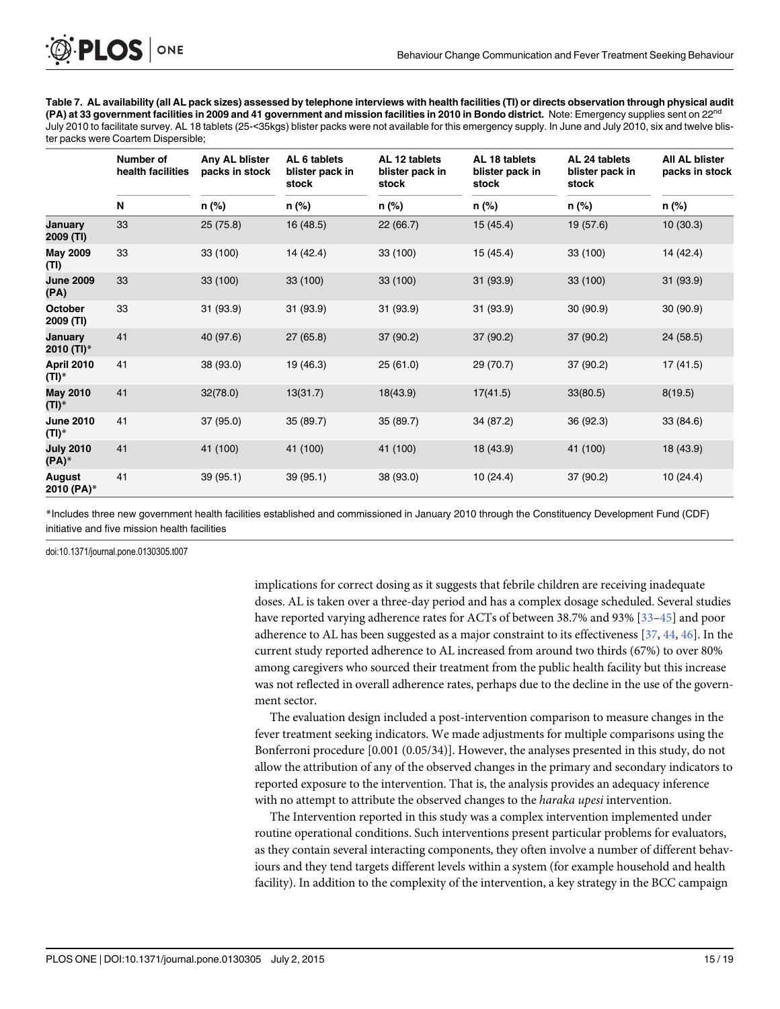<span id="page-14-0"></span>[Table 7.](#page-9-0) AL availability (all AL pack sizes) assessed by telephone interviews with health facilities (TI) or directs observation through physical audit (PA) at 33 government facilities in 2009 and 41 government and mission facilities in 2010 in Bondo district. Note: Emergency supplies sent on 22<sup>nd</sup> July 2010 to facilitate survey. AL 18 tablets (25-<35kgs) blister packs were not available for this emergency supply. In June and July 2010, six and twelve blister packs were Coartem Dispersible;

|                              | Number of<br>health facilities | Any AL blister<br>packs in stock | AL 6 tablets<br>blister pack in<br>stock | AL 12 tablets<br>blister pack in<br>stock | AL 18 tablets<br>blister pack in<br>stock | AL 24 tablets<br>blister pack in<br>stock | <b>All AL blister</b><br>packs in stock |
|------------------------------|--------------------------------|----------------------------------|------------------------------------------|-------------------------------------------|-------------------------------------------|-------------------------------------------|-----------------------------------------|
|                              | N                              | n (%)                            | n (%)                                    | n (%)                                     | n (%)                                     | n (%)                                     | n (%)                                   |
| January<br>2009 (TI)         | 33                             | 25(75.8)                         | 16 (48.5)                                | 22(66.7)                                  | 15(45.4)                                  | 19 (57.6)                                 | 10(30.3)                                |
| <b>May 2009</b><br>(TI)      | 33                             | 33 (100)                         | 14 (42.4)                                | 33 (100)                                  | 15(45.4)                                  | 33 (100)                                  | 14 (42.4)                               |
| <b>June 2009</b><br>(PA)     | 33                             | 33 (100)                         | 33 (100)                                 | 33 (100)                                  | 31 (93.9)                                 | 33 (100)                                  | 31 (93.9)                               |
| <b>October</b><br>2009 (TI)  | 33                             | 31 (93.9)                        | 31 (93.9)                                | 31 (93.9)                                 | 31 (93.9)                                 | 30 (90.9)                                 | 30 (90.9)                               |
| January<br>2010 (TI)*        | 41                             | 40 (97.6)                        | 27(65.8)                                 | 37 (90.2)                                 | 37 (90.2)                                 | 37 (90.2)                                 | 24(58.5)                                |
| <b>April 2010</b><br>(TI)*   | 41                             | 38 (93.0)                        | 19 (46.3)                                | 25(61.0)                                  | 29 (70.7)                                 | 37 (90.2)                                 | 17(41.5)                                |
| <b>May 2010</b><br>$(TI)^*$  | 41                             | 32(78.0)                         | 13(31.7)                                 | 18(43.9)                                  | 17(41.5)                                  | 33(80.5)                                  | 8(19.5)                                 |
| <b>June 2010</b><br>$(TI)^*$ | 41                             | 37 (95.0)                        | 35 (89.7)                                | 35 (89.7)                                 | 34 (87.2)                                 | 36 (92.3)                                 | 33 (84.6)                               |
| <b>July 2010</b><br>$(PA)^*$ | 41                             | 41 (100)                         | 41 (100)                                 | 41 (100)                                  | 18 (43.9)                                 | 41 (100)                                  | 18 (43.9)                               |
| August<br>2010 (PA)*         | 41                             | 39(95.1)                         | 39(95.1)                                 | 38 (93.0)                                 | 10(24.4)                                  | 37 (90.2)                                 | 10(24.4)                                |

\*Includes three new government health facilities established and commissioned in January 2010 through the Constituency Development Fund (CDF) initiative and five mission health facilities

doi:10.1371/journal.pone.0130305.t007

implications for correct dosing as it suggests that febrile children are receiving inadequate doses. AL is taken over a three-day period and has a complex dosage scheduled. Several studies have reported varying adherence rates for ACTs of between 38.7% and 93% [\[33](#page-17-0)–[45\]](#page-18-0) and poor adherence to AL has been suggested as a major constraint to its effectiveness [[37](#page-17-0), [44](#page-18-0), [46](#page-18-0)]. In the current study reported adherence to AL increased from around two thirds (67%) to over 80% among caregivers who sourced their treatment from the public health facility but this increase was not reflected in overall adherence rates, perhaps due to the decline in the use of the government sector.

The evaluation design included a post-intervention comparison to measure changes in the fever treatment seeking indicators. We made adjustments for multiple comparisons using the Bonferroni procedure [0.001 (0.05/34)]. However, the analyses presented in this study, do not allow the attribution of any of the observed changes in the primary and secondary indicators to reported exposure to the intervention. That is, the analysis provides an adequacy inference with no attempt to attribute the observed changes to the *haraka upesi* intervention.

The Intervention reported in this study was a complex intervention implemented under routine operational conditions. Such interventions present particular problems for evaluators, as they contain several interacting components, they often involve a number of different behaviours and they tend targets different levels within a system (for example household and health facility). In addition to the complexity of the intervention, a key strategy in the BCC campaign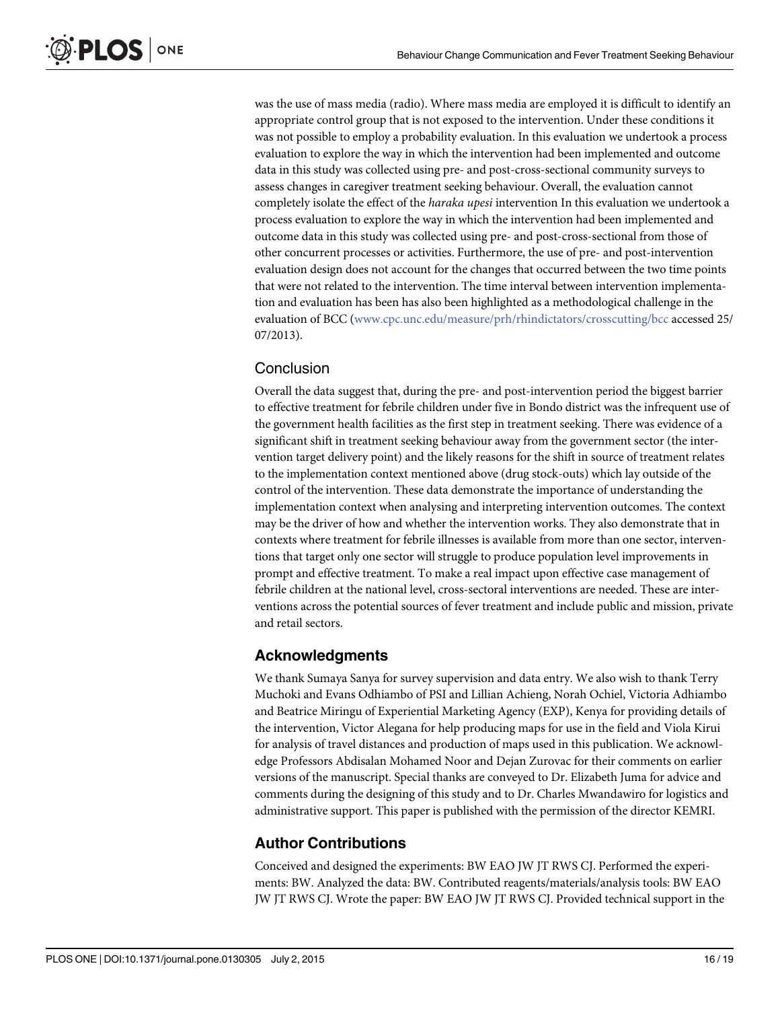was the use of mass media (radio). Where mass media are employed it is difficult to identify an appropriate control group that is not exposed to the intervention. Under these conditions it was not possible to employ a probability evaluation. In this evaluation we undertook a process evaluation to explore the way in which the intervention had been implemented and outcome data in this study was collected using pre- and post-cross-sectional community surveys to assess changes in caregiver treatment seeking behaviour. Overall, the evaluation cannot completely isolate the effect of the haraka upesi intervention In this evaluation we undertook a process evaluation to explore the way in which the intervention had been implemented and outcome data in this study was collected using pre- and post-cross-sectional from those of other concurrent processes or activities. Furthermore, the use of pre- and post-intervention evaluation design does not account for the changes that occurred between the two time points that were not related to the intervention. The time interval between intervention implementation and evaluation has been has also been highlighted as a methodological challenge in the evaluation of BCC [\(www.cpc.unc.edu/measure/prh/rhindictators/crosscutting/bcc](http://www.cpc.unc.edu/measure/prh/rhindictators/crosscutting/bcc) accessed 25/ 07/2013).

# **Conclusion**

Overall the data suggest that, during the pre- and post-intervention period the biggest barrier to effective treatment for febrile children under five in Bondo district was the infrequent use of the government health facilities as the first step in treatment seeking. There was evidence of a significant shift in treatment seeking behaviour away from the government sector (the intervention target delivery point) and the likely reasons for the shift in source of treatment relates to the implementation context mentioned above (drug stock-outs) which lay outside of the control of the intervention. These data demonstrate the importance of understanding the implementation context when analysing and interpreting intervention outcomes. The context may be the driver of how and whether the intervention works. They also demonstrate that in contexts where treatment for febrile illnesses is available from more than one sector, interventions that target only one sector will struggle to produce population level improvements in prompt and effective treatment. To make a real impact upon effective case management of febrile children at the national level, cross-sectoral interventions are needed. These are interventions across the potential sources of fever treatment and include public and mission, private and retail sectors.

# Acknowledgments

We thank Sumaya Sanya for survey supervision and data entry. We also wish to thank Terry Muchoki and Evans Odhiambo of PSI and Lillian Achieng, Norah Ochiel, Victoria Adhiambo and Beatrice Miringu of Experiential Marketing Agency (EXP), Kenya for providing details of the intervention, Victor Alegana for help producing maps for use in the field and Viola Kirui for analysis of travel distances and production of maps used in this publication. We acknowledge Professors Abdisalan Mohamed Noor and Dejan Zurovac for their comments on earlier versions of the manuscript. Special thanks are conveyed to Dr. Elizabeth Juma for advice and comments during the designing of this study and to Dr. Charles Mwandawiro for logistics and administrative support. This paper is published with the permission of the director KEMRI.

# Author Contributions

Conceived and designed the experiments: BW EAO JW JT RWS CJ. Performed the experiments: BW. Analyzed the data: BW. Contributed reagents/materials/analysis tools: BW EAO JW JT RWS CJ. Wrote the paper: BW EAO JW JT RWS CJ. Provided technical support in the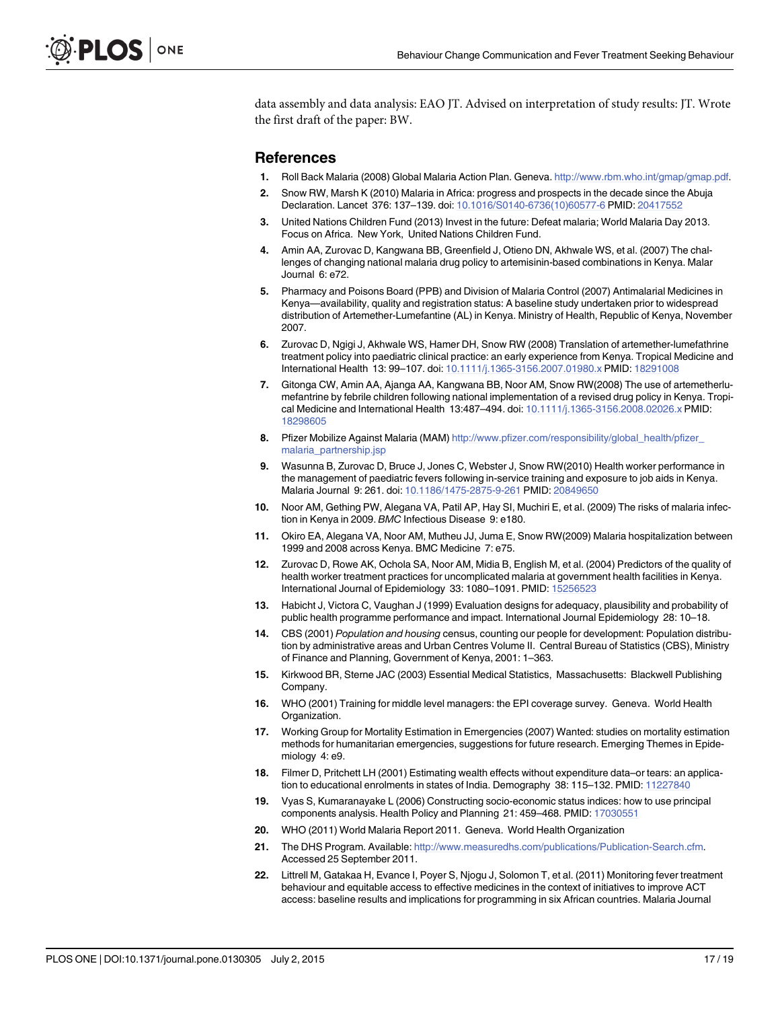<span id="page-16-0"></span>data assembly and data analysis: EAO JT. Advised on interpretation of study results: JT. Wrote the first draft of the paper: BW.

## References

- [1.](#page-1-0) Roll Back Malaria (2008) Global Malaria Action Plan. Geneva. <http://www.rbm.who.int/gmap/gmap.pdf>.
- [2.](#page-1-0) Snow RW, Marsh K (2010) Malaria in Africa: progress and prospects in the decade since the Abuja Declaration. Lancet 376: 137–139. doi: [10.1016/S0140-6736\(10\)60577-6](http://dx.doi.org/10.1016/S0140-6736(10)60577-6) PMID: [20417552](http://www.ncbi.nlm.nih.gov/pubmed/20417552)
- [3.](#page-1-0) United Nations Children Fund (2013) Invest in the future: Defeat malaria; World Malaria Day 2013. Focus on Africa. New York, United Nations Children Fund.
- [4.](#page-1-0) Amin AA, Zurovac D, Kangwana BB, Greenfield J, Otieno DN, Akhwale WS, et al. (2007) The challenges of changing national malaria drug policy to artemisinin-based combinations in Kenya. Malar Journal 6: e72.
- [5.](#page-1-0) Pharmacy and Poisons Board (PPB) and Division of Malaria Control (2007) Antimalarial Medicines in Kenya—availability, quality and registration status: A baseline study undertaken prior to widespread distribution of Artemether-Lumefantine (AL) in Kenya. Ministry of Health, Republic of Kenya, November 2007.
- [6.](#page-1-0) Zurovac D, Ngigi J, Akhwale WS, Hamer DH, Snow RW (2008) Translation of artemether-lumefathrine treatment policy into paediatric clinical practice: an early experience from Kenya. Tropical Medicine and International Health 13: 99–107. doi: [10.1111/j.1365-3156.2007.01980.x](http://dx.doi.org/10.1111/j.1365-3156.2007.01980.x) PMID: [18291008](http://www.ncbi.nlm.nih.gov/pubmed/18291008)
- [7.](#page-1-0) Gitonga CW, Amin AA, Ajanga AA, Kangwana BB, Noor AM, Snow RW(2008) The use of artemetherlumefantrine by febrile children following national implementation of a revised drug policy in Kenya. Tropical Medicine and International Health 13:487–494. doi: [10.1111/j.1365-3156.2008.02026.x](http://dx.doi.org/10.1111/j.1365-3156.2008.02026.x) PMID: [18298605](http://www.ncbi.nlm.nih.gov/pubmed/18298605)
- [8.](#page-1-0) Pfizer Mobilize Against Malaria (MAM) [http://www.pfizer.com/responsibility/global\\_health/pfizer\\_](http://www.pfizer.com/responsibility/global_health/pfizer_malaria_partnership.jsp) [malaria\\_partnership.jsp](http://www.pfizer.com/responsibility/global_health/pfizer_malaria_partnership.jsp)
- [9.](#page-2-0) Wasunna B, Zurovac D, Bruce J, Jones C, Webster J, Snow RW(2010) Health worker performance in the management of paediatric fevers following in-service training and exposure to job aids in Kenya. Malaria Journal 9: 261. doi: [10.1186/1475-2875-9-261](http://dx.doi.org/10.1186/1475-2875-9-261) PMID: [20849650](http://www.ncbi.nlm.nih.gov/pubmed/20849650)
- [10.](#page-2-0) Noor AM, Gething PW, Alegana VA, Patil AP, Hay SI, Muchiri E, et al. (2009) The risks of malaria infection in Kenya in 2009. BMC Infectious Disease 9: e180.
- [11.](#page-2-0) Okiro EA, Alegana VA, Noor AM, Mutheu JJ, Juma E, Snow RW(2009) Malaria hospitalization between 1999 and 2008 across Kenya. BMC Medicine 7: e75.
- [12.](#page-2-0) Zurovac D, Rowe AK, Ochola SA, Noor AM, Midia B, English M, et al. (2004) Predictors of the quality of health worker treatment practices for uncomplicated malaria at government health facilities in Kenya. International Journal of Epidemiology 33: 1080–1091. PMID: [15256523](http://www.ncbi.nlm.nih.gov/pubmed/15256523)
- [13.](#page-2-0) Habicht J, Victora C, Vaughan J (1999) Evaluation designs for adequacy, plausibility and probability of public health programme performance and impact. International Journal Epidemiology 28: 10–18.
- [14.](#page-2-0) CBS (2001) Population and housing census, counting our people for development: Population distribution by administrative areas and Urban Centres Volume II. Central Bureau of Statistics (CBS), Ministry of Finance and Planning, Government of Kenya, 2001: 1–363.
- [15.](#page-2-0) Kirkwood BR, Sterne JAC (2003) Essential Medical Statistics, Massachusetts: Blackwell Publishing Company.
- [16.](#page-3-0) WHO (2001) Training for middle level managers: the EPI coverage survey. Geneva. World Health Organization.
- [17.](#page-3-0) Working Group for Mortality Estimation in Emergencies (2007) Wanted: studies on mortality estimation methods for humanitarian emergencies, suggestions for future research. Emerging Themes in Epidemiology 4: e9.
- [18.](#page-4-0) Filmer D, Pritchett LH (2001) Estimating wealth effects without expenditure data–or tears: an application to educational enrolments in states of India. Demography 38: 115–132. PMID: [11227840](http://www.ncbi.nlm.nih.gov/pubmed/11227840)
- [19.](#page-4-0) Vyas S, Kumaranayake L (2006) Constructing socio-economic status indices: how to use principal components analysis. Health Policy and Planning 21: 459-468. PMID: [17030551](http://www.ncbi.nlm.nih.gov/pubmed/17030551)
- [20.](#page-11-0) WHO (2011) World Malaria Report 2011. Geneva. World Health Organization
- [21.](#page-11-0) The DHS Program. Available: <http://www.measuredhs.com/publications/Publication-Search.cfm>. Accessed 25 September 2011.
- [22.](#page-11-0) Littrell M, Gatakaa H, Evance I, Poyer S, Njogu J, Solomon T, et al. (2011) Monitoring fever treatment behaviour and equitable access to effective medicines in the context of initiatives to improve ACT access: baseline results and implications for programming in six African countries. Malaria Journal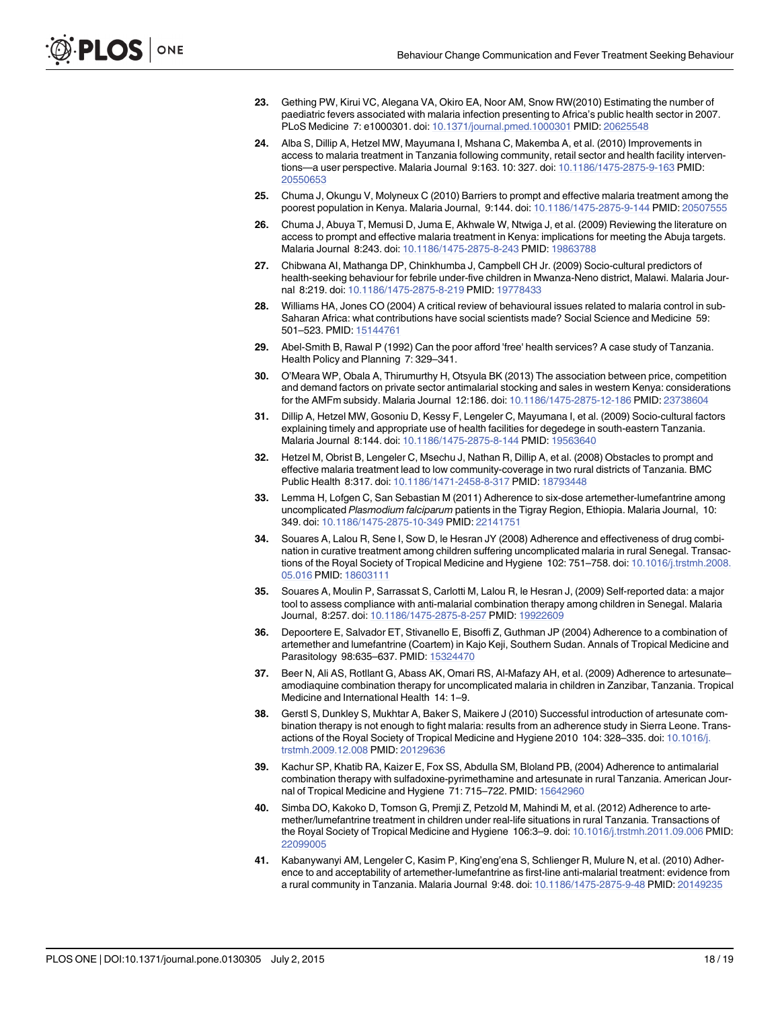- <span id="page-17-0"></span>[23.](#page-11-0) Gething PW, Kirui VC, Alegana VA, Okiro EA, Noor AM, Snow RW(2010) Estimating the number of paediatric fevers associated with malaria infection presenting to Africa's public health sector in 2007. PLoS Medicine 7: e1000301. doi: [10.1371/journal.pmed.1000301](http://dx.doi.org/10.1371/journal.pmed.1000301) PMID: [20625548](http://www.ncbi.nlm.nih.gov/pubmed/20625548)
- [24.](#page-11-0) Alba S, Dillip A, Hetzel MW, Mayumana I, Mshana C, Makemba A, et al. (2010) Improvements in access to malaria treatment in Tanzania following community, retail sector and health facility interventions—a user perspective. Malaria Journal 9:163. 10: 327. doi: [10.1186/1475-2875-9-163](http://dx.doi.org/10.1186/1475-2875-9-163) PMID: [20550653](http://www.ncbi.nlm.nih.gov/pubmed/20550653)
- [25.](#page-13-0) Chuma J, Okungu V, Molyneux C (2010) Barriers to prompt and effective malaria treatment among the poorest population in Kenya. Malaria Journal, 9:144. doi: [10.1186/1475-2875-9-144](http://dx.doi.org/10.1186/1475-2875-9-144) PMID: [20507555](http://www.ncbi.nlm.nih.gov/pubmed/20507555)
- 26. Chuma J, Abuya T, Memusi D, Juma E, Akhwale W, Ntwiga J, et al. (2009) Reviewing the literature on access to prompt and effective malaria treatment in Kenya: implications for meeting the Abuja targets. Malaria Journal 8:243. doi: [10.1186/1475-2875-8-243](http://dx.doi.org/10.1186/1475-2875-8-243) PMID: [19863788](http://www.ncbi.nlm.nih.gov/pubmed/19863788)
- [27.](#page-13-0) Chibwana AI, Mathanga DP, Chinkhumba J, Campbell CH Jr. (2009) Socio-cultural predictors of health-seeking behaviour for febrile under-five children in Mwanza-Neno district, Malawi. Malaria Journal 8:219. doi: [10.1186/1475-2875-8-219](http://dx.doi.org/10.1186/1475-2875-8-219) PMID: [19778433](http://www.ncbi.nlm.nih.gov/pubmed/19778433)
- 28. Williams HA, Jones CO (2004) A critical review of behavioural issues related to malaria control in sub-Saharan Africa: what contributions have social scientists made? Social Science and Medicine 59: 501–523. PMID: [15144761](http://www.ncbi.nlm.nih.gov/pubmed/15144761)
- [29.](#page-13-0) Abel-Smith B, Rawal P (1992) Can the poor afford 'free' health services? A case study of Tanzania. Health Policy and Planning 7: 329–341.
- [30.](#page-13-0) O'Meara WP, Obala A, Thirumurthy H, Otsyula BK (2013) The association between price, competition and demand factors on private sector antimalarial stocking and sales in western Kenya: considerations for the AMFm subsidy. Malaria Journal 12:186. doi: [10.1186/1475-2875-12-186](http://dx.doi.org/10.1186/1475-2875-12-186) PMID: [23738604](http://www.ncbi.nlm.nih.gov/pubmed/23738604)
- 31. Dillip A, Hetzel MW, Gosoniu D, Kessy F, Lengeler C, Mayumana I, et al. (2009) Socio-cultural factors explaining timely and appropriate use of health facilities for degedege in south-eastern Tanzania. Malaria Journal 8:144. doi: [10.1186/1475-2875-8-144](http://dx.doi.org/10.1186/1475-2875-8-144) PMID: [19563640](http://www.ncbi.nlm.nih.gov/pubmed/19563640)
- [32.](#page-13-0) Hetzel M, Obrist B, Lengeler C, Msechu J, Nathan R, Dillip A, et al. (2008) Obstacles to prompt and effective malaria treatment lead to low community-coverage in two rural districts of Tanzania. BMC Public Health 8:317. doi: [10.1186/1471-2458-8-317](http://dx.doi.org/10.1186/1471-2458-8-317) PMID: [18793448](http://www.ncbi.nlm.nih.gov/pubmed/18793448)
- [33.](#page-14-0) Lemma H, Lofgen C, San Sebastian M (2011) Adherence to six-dose artemether-lumefantrine among uncomplicated Plasmodium falciparum patients in the Tigray Region, Ethiopia. Malaria Journal, 10: 349. doi: [10.1186/1475-2875-10-349](http://dx.doi.org/10.1186/1475-2875-10-349) PMID: [22141751](http://www.ncbi.nlm.nih.gov/pubmed/22141751)
- 34. Souares A, Lalou R, Sene I, Sow D, le Hesran JY (2008) Adherence and effectiveness of drug combination in curative treatment among children suffering uncomplicated malaria in rural Senegal. Transac-tions of the Royal Society of Tropical Medicine and Hygiene 102: 751-758. doi: [10.1016/j.trstmh.2008.](http://dx.doi.org/10.1016/j.trstmh.2008.05.016) [05.016](http://dx.doi.org/10.1016/j.trstmh.2008.05.016) PMID: [18603111](http://www.ncbi.nlm.nih.gov/pubmed/18603111)
- 35. Souares A, Moulin P, Sarrassat S, Carlotti M, Lalou R, le Hesran J, (2009) Self-reported data: a major tool to assess compliance with anti-malarial combination therapy among children in Senegal. Malaria Journal, 8:257. doi: [10.1186/1475-2875-8-257](http://dx.doi.org/10.1186/1475-2875-8-257) PMID: [19922609](http://www.ncbi.nlm.nih.gov/pubmed/19922609)
- 36. Depoortere E, Salvador ET, Stivanello E, Bisoffi Z, Guthman JP (2004) Adherence to a combination of artemether and lumefantrine (Coartem) in Kajo Keji, Southern Sudan. Annals of Tropical Medicine and Parasitology 98:635–637. PMID: [15324470](http://www.ncbi.nlm.nih.gov/pubmed/15324470)
- [37.](#page-14-0) Beer N, Ali AS, Rotllant G, Abass AK, Omari RS, Al-Mafazy AH, et al. (2009) Adherence to artesunate– amodiaquine combination therapy for uncomplicated malaria in children in Zanzibar, Tanzania. Tropical Medicine and International Health 14: 1–9.
- 38. Gerstl S, Dunkley S, Mukhtar A, Baker S, Maikere J (2010) Successful introduction of artesunate combination therapy is not enough to fight malaria: results from an adherence study in Sierra Leone. Transactions of the Royal Society of Tropical Medicine and Hygiene 2010 104: 328–335. doi: [10.1016/j.](http://dx.doi.org/10.1016/j.trstmh.2009.12.008) [trstmh.2009.12.008](http://dx.doi.org/10.1016/j.trstmh.2009.12.008) PMID: [20129636](http://www.ncbi.nlm.nih.gov/pubmed/20129636)
- 39. Kachur SP, Khatib RA, Kaizer E, Fox SS, Abdulla SM, Bloland PB, (2004) Adherence to antimalarial combination therapy with sulfadoxine-pyrimethamine and artesunate in rural Tanzania. American Jour-nal of Tropical Medicine and Hygiene 71: 715-722. PMID: [15642960](http://www.ncbi.nlm.nih.gov/pubmed/15642960)
- 40. Simba DO, Kakoko D, Tomson G, Premji Z, Petzold M, Mahindi M, et al. (2012) Adherence to artemether/lumefantrine treatment in children under real-life situations in rural Tanzania. Transactions of the Royal Society of Tropical Medicine and Hygiene 106:3-9. doi: [10.1016/j.trstmh.2011.09.006](http://dx.doi.org/10.1016/j.trstmh.2011.09.006) PMID: [22099005](http://www.ncbi.nlm.nih.gov/pubmed/22099005)
- 41. Kabanywanyi AM, Lengeler C, Kasim P, King'eng'ena S, Schlienger R, Mulure N, et al. (2010) Adherence to and acceptability of artemether-lumefantrine as first-line anti-malarial treatment: evidence from a rural community in Tanzania. Malaria Journal 9:48. doi: [10.1186/1475-2875-9-48](http://dx.doi.org/10.1186/1475-2875-9-48) PMID: [20149235](http://www.ncbi.nlm.nih.gov/pubmed/20149235)